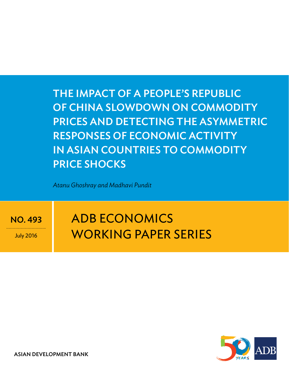ThE ImPACT Of A PEOPlE'S REPuBlIC Of ChINA SlOwDOwN ON COmmODITy PRICES AND DETECTINg ThE ASymmETRIC RESPONSES Of ECONOmIC ACTIvITy IN ASIAN COuNTRIES TO COmmODITy PRICE SHOCKS

*Atanu Ghoshray and Madhavi Pundit*

NO. 493

July 2016

# **ADB ECONOMICS** working paper series



ASIAN DEVELOPMENT BANK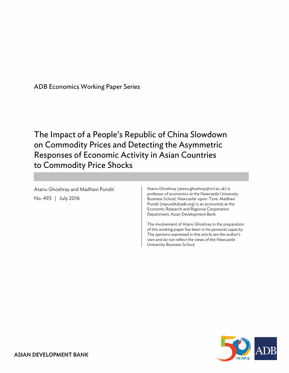ADB Economics Working Paper Series

The Impact of a People's Republic of China Slowdown on Commodity Prices and Detecting the Asymmetric Responses of Economic Activity in Asian Countries to Commodity Price Shocks

Atanu Ghoshray and Madhavi Pundit No. 493 | July 2016

Atanu Ghoshray (atanu.ghoshray@ncl.ac.uk) is professor of economics at the Newcastle University Business School, Newcastle-upon-Tyne. Madhavi Pundit (mpundit@adb.org) is an economist at the Economic Research and Regional Cooperation Department, Asian Development Bank.

The involvement of Atanu Ghoshray in the preparation of this working paper has been in his personal capacity. The opinions expressed in this article are the author's own and do not reflect the views of the Newcastle University Business School.

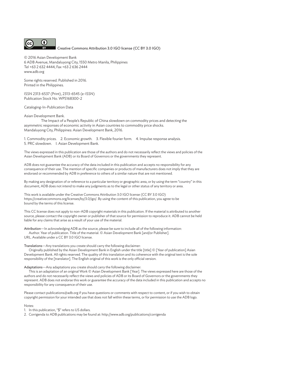

Creative Commons Attribution 3.0 IGO license (CC BY 3.0 IGO)

© 2016 Asian Development Bank 6 ADB Avenue, Mandaluyong City, 1550 Metro Manila, Philippines Tel +63 2 632 4444; Fax +63 2 636 2444 www.adb.org

Some rights reserved. Published in 2016. Printed in the Philippines.

ISSN 2313-6537 (Print), 2313-6545 (e-ISSN) Publication Stock No. WPS168300-2

Cataloging-In-Publication Data

Asian Development Bank.

The Impact of a People's Republic of China slowdown on commodity prices and detecting the asymmetric responses of economic activity in Asian countries to commodity price shocks. Mandaluyong City, Philippines: Asian Development Bank, 2016.

1. Commodity prices. 2. Economic growth. 3. Flexible fourier form. 4. Impulse response analysis. 5. PRC slowdown. I. Asian Development Bank.

The views expressed in this publication are those of the authors and do not necessarily reflect the views and policies of the Asian Development Bank (ADB) or its Board of Governors or the governments they represent.

ADB does not guarantee the accuracy of the data included in this publication and accepts no responsibility for any consequence of their use. The mention of specific companies or products of manufacturers does not imply that they are endorsed or recommended by ADB in preference to others of a similar nature that are not mentioned.

By making any designation of or reference to a particular territory or geographic area, or by using the term "country" in this document, ADB does not intend to make any judgments as to the legal or other status of any territory or area.

This work is available under the Creative Commons Attribution 3.0 IGO license (CC BY 3.0 IGO) https://creativecommons.org/licenses/by/3.0/igo/. By using the content of this publication, you agree to be bound by the terms of this license.

This CC license does not apply to non-ADB copyright materials in this publication. If the material is attributed to another source, please contact the copyright owner or publisher of that source for permission to reproduce it. ADB cannot be held liable for any claims that arise as a result of your use of the material.

Attribution—In acknowledging ADB as the source, please be sure to include all of the following information: Author. Year of publication. Title of the material. © Asian Development Bank [and/or Publisher]. URL. Available under a CC BY 3.0 IGO license.

Translations—Any translations you create should carry the following disclaimer:

Originally published by the Asian Development Bank in English under the title [title] © [Year of publication] Asian Development Bank. All rights reserved. The quality of this translation and its coherence with the original text is the sole responsibility of the [translator]. The English original of this work is the only official version.

Adaptations—Any adaptations you create should carry the following disclaimer:

This is an adaptation of an original Work © Asian Development Bank [Year]. The views expressed here are those of the authors and do not necessarily reflect the views and policies of ADB or its Board of Governors or the governments they represent. ADB does not endorse this work or guarantee the accuracy of the data included in this publication and accepts no responsibility for any consequence of their use.

Please contact publications@adb.org if you have questions or comments with respect to content, or if you wish to obtain copyright permission for your intended use that does not fall within these terms, or for permission to use the ADB logo.

Notes:

1. In this publication, "\$" refers to US dollars.

2. Corrigenda to ADB publications may be found at: http://www.adb.org/publications/corrigenda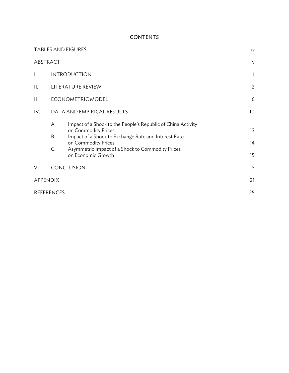# **CONTENTS**

|                |                   | <b>TABLES AND FIGURES</b>                                                                                                                                                                                                                    | iv              |
|----------------|-------------------|----------------------------------------------------------------------------------------------------------------------------------------------------------------------------------------------------------------------------------------------|-----------------|
|                | ABSTRACT          |                                                                                                                                                                                                                                              | $\vee$          |
| $\mathsf{l}$ . |                   | <b>INTRODUCTION</b>                                                                                                                                                                                                                          | $\mathbf{1}$    |
| П.             |                   | LITERATURE REVIEW                                                                                                                                                                                                                            | $\overline{2}$  |
| Ш.             |                   | <b>ECONOMETRIC MODEL</b>                                                                                                                                                                                                                     | 6               |
| IV.            |                   | DATA AND EMPIRICAL RESULTS                                                                                                                                                                                                                   | 10 <sup>°</sup> |
|                | А.<br>В.<br>C.    | Impact of a Shock to the People's Republic of China Activity<br>on Commodity Prices<br>Impact of a Shock to Exchange Rate and Interest Rate<br>on Commodity Prices<br>Asymmetric Impact of a Shock to Commodity Prices<br>on Economic Growth | 13<br>14<br>15  |
| V.             |                   | CONCLUSION                                                                                                                                                                                                                                   | 18              |
|                | <b>APPENDIX</b>   |                                                                                                                                                                                                                                              | 21              |
|                | <b>REFERENCES</b> |                                                                                                                                                                                                                                              | 25              |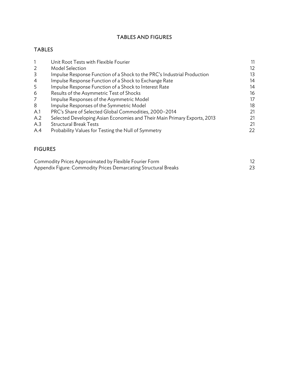# TABLES AND FIGURES

# TABLES

|                | Unit Root Tests with Flexible Fourier                                    |     |
|----------------|--------------------------------------------------------------------------|-----|
| $\overline{2}$ | <b>Model Selection</b>                                                   | 12. |
| 3              | Impulse Response Function of a Shock to the PRC's Industrial Production  | 13  |
| $\overline{4}$ | Impulse Response Function of a Shock to Exchange Rate                    | 14  |
| 5              | Impulse Response Function of a Shock to Interest Rate                    | 14  |
| 6              | Results of the Asymmetric Test of Shocks                                 | 16  |
| 7              | Impulse Responses of the Asymmetric Model                                | 17  |
| 8              | Impulse Responses of the Symmetric Model                                 | 18  |
| A.1            | PRC's Share of Selected Global Commodities, 2000-2014                    | 21  |
| A.2            | Selected Developing Asian Economies and Their Main Primary Exports, 2013 | 21  |
| A.3            | <b>Structural Break Tests</b>                                            | 21  |
| A.4            | Probability Values for Testing the Null of Symmetry                      | 22  |
|                |                                                                          |     |

# FIGURES

| Commodity Prices Approximated by Flexible Fourier Form          |  |
|-----------------------------------------------------------------|--|
| Appendix Figure: Commodity Prices Demarcating Structural Breaks |  |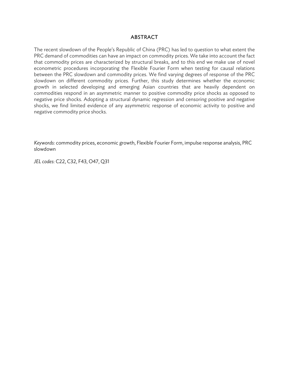### **ABSTRACT**

The recent slowdown of the People's Republic of China (PRC) has led to question to what extent the PRC demand of commodities can have an impact on commodity prices. We take into account the fact that commodity prices are characterized by structural breaks, and to this end we make use of novel econometric procedures incorporating the Flexible Fourier Form when testing for causal relations between the PRC slowdown and commodity prices. We find varying degrees of response of the PRC slowdown on different commodity prices. Further, this study determines whether the economic growth in selected developing and emerging Asian countries that are heavily dependent on commodities respond in an asymmetric manner to positive commodity price shocks as opposed to negative price shocks. Adopting a structural dynamic regression and censoring positive and negative shocks, we find limited evidence of any asymmetric response of economic activity to positive and negative commodity price shocks.

*Keywords:* commodity prices, economic growth, Flexible Fourier Form, impulse response analysis, PRC slowdown

*JEL codes*: C22, C32, F43, O47, Q31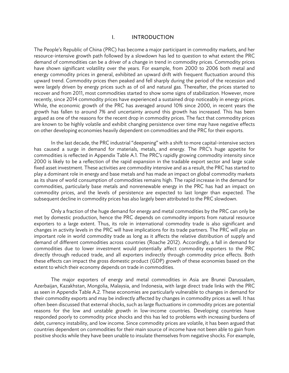#### I. INTRODUCTION

The People's Republic of China (PRC) has become a major participant in commodity markets, and her resource-intensive growth path followed by a slowdown has led to question to what extent the PRC demand of commodities can be a driver of a change in trend in commodity prices. Commodity prices have shown significant volatility over the years. For example, from 2000 to 2006 both metal and energy commodity prices in general, exhibited an upward drift with frequent fluctuation around this upward trend. Commodity prices then peaked and fell sharply during the period of the recession and were largely driven by energy prices such as of oil and natural gas. Thereafter, the prices started to recover and from 2011, most commodities started to show some signs of stabilization. However, more recently, since 2014 commodity prices have experienced a sustained drop noticeably in energy prices. While, the economic growth of the PRC has averaged around 10% since 2000, in recent years the growth has fallen to around 7% and uncertainty around this growth has increased. This has been argued as one of the reasons for the recent drop in commodity prices. The fact that commodity prices are known to be highly volatile and exhibit changing persistence over time may have negative effects on other developing economies heavily dependent on commodities and the PRC for their exports.

In the last decade, the PRC industrial "deepening" with a shift to more capital-intensive sectors has caused a surge in demand for materials, metals, and energy. The PRC's huge appetite for commodities is reflected in Appendix Table A.1. The PRC's rapidly growing commodity intensity since 2000 is likely to be a reflection of the rapid expansion in the tradable export sector and large scale fixed asset investment. These activities are commodity intensive and as a result, the PRC has started to play a dominant role in energy and base metals and has made an impact on global commodity markets as its share of world consumption of commodities remains high. The rapid increase in the demand for commodities, particularly base metals and nonrenewable energy in the PRC has had an impact on commodity prices, and the levels of persistence are expected to last longer than expected. The subsequent decline in commodity prices has also largely been attributed to the PRC slowdown.

Only a fraction of the huge demand for energy and metal commodities by the PRC can only be met by domestic production, hence the PRC depends on commodity imports from natural resource exporters to a large extent. Thus, its role in international commodity trade is also significant and changes in activity levels in the PRC will have implications for its trade partners. The PRC will play an important role in world commodity trade as long as it affects the relative distribution of supply and demand of different commodities across countries (Roache 2012). Accordingly, a fall in demand for commodities due to lower investment would potentially affect commodity exporters to the PRC directly through reduced trade, and all exporters indirectly through commodity price effects. Both these effects can impact the gross domestic product (GDP) growth of these economies based on the extent to which their economy depends on trade in commodities.

The major exporters of energy and metal commodities in Asia are Brunei Darussalam, Azerbaijan, Kazakhstan, Mongolia, Malaysia, and Indonesia, with large direct trade links with the PRC as seen in Appendix Table A.2. These economies are particularly vulnerable to changes in demand for their commodity exports and may be indirectly affected by changes in commodity prices as well. It has often been discussed that external shocks, such as large fluctuations in commodity prices are potential reasons for the low and unstable growth in low-income countries. Developing countries have responded poorly to commodity price shocks and this has led to problems with increasing burdens of debt, currency instability, and low income. Since commodity prices are volatile, it has been argued that countries dependent on commodities for their main source of income have not been able to gain from positive shocks while they have been unable to insulate themselves from negative shocks. For example,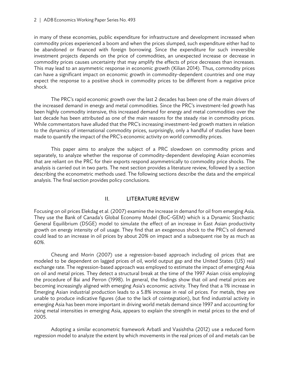in many of these economies, public expenditure for infrastructure and development increased when commodity prices experienced a boom and when the prices slumped, such expenditure either had to be abandoned or financed with foreign borrowing. Since the expenditure for such irreversible investment projects depends on the price of commodities, an unexpected increase or decrease in commodity prices causes uncertainty that may amplify the effects of price decreases than increases. This may lead to an asymmetric response in economic growth (Kilian 2014). Thus, commodity prices can have a significant impact on economic growth in commodity-dependent countries and one may expect the response to a positive shock in commodity prices to be different from a negative price shock.

The PRC's rapid economic growth over the last 2 decades has been one of the main drivers of the increased demand in energy and metal commodities. Since the PRC's investment-led growth has been highly commodity intensive, this increased demand for energy and metal commodities over the last decade has been attributed as one of the main reasons for the steady rise in commodity prices. While commentators have alluded that the PRC's increasing investment-led growth matters in relation to the dynamics of international commodity prices, surprisingly, only a handful of studies have been made to quantify the impact of the PRC's economic activity on world commodity prices.

This paper aims to analyze the subject of a PRC slowdown on commodity prices and separately, to analyze whether the response of commodity-dependent developing Asian economies that are reliant on the PRC for their exports respond asymmetrically to commodity price shocks. The analysis is carried out in two parts. The next section provides a literature review, followed by a section describing the econometric methods used. The following sections describe the data and the empirical analysis. The final section provides policy conclusions.

## II. LITERATURE REVIEW

Focusing on oil prices Elekdag et al. (2007) examine the increase in demand for oil from emerging Asia. They use the Bank of Canada's Global Economy Model (BoC-GEM) which is a Dynamic Stochastic General Equilibrium (DSGE) model to simulate the effect of an increase in East Asian productivity growth on energy intensity of oil usage. They find that an exogenous shock to the PRC's oil demand could lead to an increase in oil prices by about 20% on impact and a subsequent rise by as much as 60%.

Cheung and Morin (2007) use a regression-based approach including oil prices that are modeled to be dependent on lagged prices of oil, world output gap and the United States (US) real exchange rate. The regression-based approach was employed to estimate the impact of emerging Asia on oil and metal prices. They detect a structural break at the time of the 1997 Asian crisis employing the procedure of Bai and Perron (1998). In general, the findings show that oil and metal prices are becoming increasingly aligned with emerging Asia's economic activity. They find that a 1% increase in Emerging Asian industrial production leads to a 5.8% increase in real oil prices. For metals, they are unable to produce indicative figures (due to the lack of cointegration), but find industrial activity in emerging Asia has been more important in driving world metals demand since 1997 and accounting for rising metal intensities in emerging Asia, appears to explain the strength in metal prices to the end of 2005.

Adopting a similar econometric framework Arbatli and Vasishtha (2012) use a reduced form regression model to analyze the extent by which movements in the real prices of oil and metals can be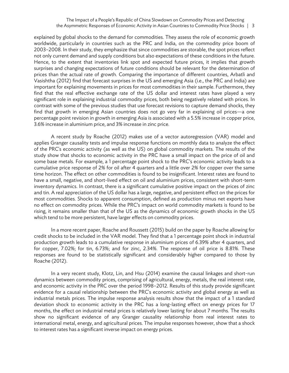#### The Impact of a People's Republic of China Slowdown on Commodity Prices and Detecting the Asymmetric Responses of Economic Activity in Asian Countries to Commodity Price Shocks | 3

explained by global shocks to the demand for commodities. They assess the role of economic growth worldwide, particularly in countries such as the PRC and India, on the commodity price boom of 2003–2008. In their study, they emphasize that since commodities are storable, the spot prices reflect not only current demand and supply conditions but also expectations of these conditions in the future. Hence, to the extent that inventories link spot and expected future prices, it implies that growth surprises and changing expectations of future conditions should be relevant for the determination of prices than the actual rate of growth. Comparing the importance of different countries, Arbatli and Vasishtha (2012) find that forecast surprises in the US and emerging Asia (i.e., the PRC and India) are important for explaining movements in prices for most commodities in their sample. Furthermore, they find that the real effective exchange rate of the US dollar and interest rates have played a very significant role in explaining industrial commodity prices, both being negatively related with prices. In contrast with some of the previous studies that use forecast revisions to capture demand shocks, they find that growth in emerging Asian countries does not go very far in explaining oil prices—a one percentage point revision in growth in emerging Asia is associated with a 5.5% increase in copper price, 3.6% increase in aluminium price, and 3% increase in zinc price.

A recent study by Roache (2012) makes use of a vector autoregression (VAR) model and applies Granger causality tests and impulse response functions on monthly data to analyze the effect of the PRC's economic activity (as well as the US) on global commodity markets. The results of the study show that shocks to economic activity in the PRC have a small impact on the price of oil and some base metals. For example, a 1 percentage point shock to the PRC's economic activity leads to a cumulative price response of 2% for oil after 4 quarters and a little over 2% for copper over the same time horizon. The effect on other commodities is found to be insignificant. Interest rates are found to have a small, negative, and short-lived effect on oil and aluminium prices, consistent with short-term inventory dynamics. In contrast, there is a significant cumulative positive impact on the prices of zinc and tin. A real appreciation of the US dollar has a large, negative, and persistent effect on the prices for most commodities. Shocks to apparent consumption, defined as production minus net exports have no effect on commodity prices. While the PRC's impact on world commodity markets is found to be rising, it remains smaller than that of the US as the dynamics of economic growth shocks in the US which tend to be more persistent, have larger effects on commodity prices.

In a more recent paper, Roache and Roussett (2015) build on the paper by Roache allowing for credit shocks to be included in the VAR model. They find that a 1 percentage point shock in industrial production growth leads to a cumulative response in aluminium prices of 6.39% after 4 quarters, and for copper, 7.02%; for tin, 6.73%; and for zinc, 2.34%. The response of oil price is 8.81%. These responses are found to be statistically significant and considerably higher compared to those by Roache (2012).

In a very recent study, Klotz, Lin, and Hsu (2014) examine the causal linkages and short-run dynamics between commodity prices, comprising of agricultural, energy, metals, the real interest rate, and economic activity in the PRC over the period 1998–2012. Results of this study provide significant evidence for a causal relationship between the PRC's economic activity and global energy as well as industrial metals prices. The impulse response analysis results show that the impact of a 1 standard deviation shock to economic activity in the PRC has a long-lasting effect on energy prices for 17 months, the effect on industrial metal prices is relatively lower lasting for about 7 months. The results show no significant evidence of any Granger causality relationship from real interest rates to international metal, energy, and agricultural prices. The impulse responses however, show that a shock to interest rates has a significant inverse impact on energy prices.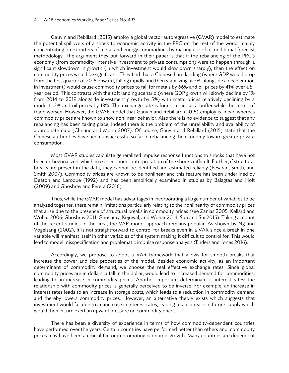#### 4 | ADB Economics Working Paper Series No. 493

Gauvin and Rebillard (2015) employ a global vector autoregressive (GVAR) model to estimate the potential spillovers of a shock to economic activity in the PRC on the rest of the world, mainly concentrating on exporters of metal and energy commodities by making use of a conditional forecast methodology. The argument they put forward in their paper is that if the rebalancing of the PRC's economy (from commodity-intensive investment to private consumption) were to happen through a significant slowdown in growth (in which investment would slow down sharply), then the effect on commodity prices would be significant. They find that a Chinese hard landing (where GDP would drop from the first quarter of 2015 onward, falling rapidly and then stabilizing at 3%, alongside a deceleration in investment) would cause commodity prices to fall for metals by 66% and oil prices by 41% over a 5 year period. This contrasts with the soft landing scenario (where GDP growth will slowly decline by 1% from 2014 to 2019 alongside investment growth by 5%) with metal prices relatively declining by a modest 12% and oil prices by 13%. The exchange rate is found to act as a buffer while the terms of trade worsen. However, the GVAR model that Gauvin and Rebillard (2015) employ is linear, whereas commodity prices are known to show nonlinear behavior. Also there is no evidence to suggest that any rebalancing has been taking place; indeed there is the problem of the unreliability and availability of appropriate data (Cheung and Morin 2007). Of course, Gauvin and Rebillard (2015) state that the Chinese authorities have been unsuccessful so far in rebalancing the economy toward greater private consumption.

Most GVAR studies calculate generalized impulse response functions to shocks that have not been orthogonalized, which makes economic interpretation of the shocks difficult. Further, if structural breaks are present in the data, they cannot be identified and estimated reliably (Pesaran, Smith, and Smith 2007). Commodity prices are known to be nonlinear and this feature has been underlined by Deaton and Laroque (1992) and has been empirically examined in studies by Balagtas and Holt (2009) and Ghoshray and Perera (2016).

Thus, while the GVAR model has advantages in incorporating a large number of variables to be analyzed together, there remain limitations particularly relating to the nonlinearity of commodity prices that arise due to the presence of structural breaks in commodity prices (see Zanias 2005; Kellard and Wohar 2006; Ghoshray 2011; Ghoshray, Kejriwal, and Wohar 2014; Sun and Shi 2015). Taking account of the recent studies in the area, the VAR model approach remains popular. As shown by Ng and Vogelsang (2002), it is not straightforward to control for breaks even in a VAR since a break in one variable will manifest itself in other variables of the system making it difficult to control for. This would lead to model misspecification and problematic impulse response analysis (Enders and Jones 2016).

Accordingly, we propose to adopt a VAR framework that allows for smooth breaks that increase the power and size properties of the model. Besides economic activity, as an important determinant of commodity demand, we choose the real effective exchange rates. Since global commodity prices are in dollars, a fall in the dollar, would lead to increased demand for commodities, leading to an increase in commodity prices. Another important determinant is interest rates; the relationship with commodity prices is generally perceived to be inverse. For example, an increase in interest rates leads to an increase in storage costs, which leads to a reduction in commodity demand and thereby lowers commodity prices. However, an alternative theory exists which suggests that investment would fall due to an increase in interest rates, leading to a decrease in future supply which would then in turn exert an upward pressure on commodity prices.

There has been a diversity of experience in terms of how commodity-dependent countries have performed over the years. Certain countries have performed better than others and, commodity prices may have been a crucial factor in promoting economic growth. Many countries are dependent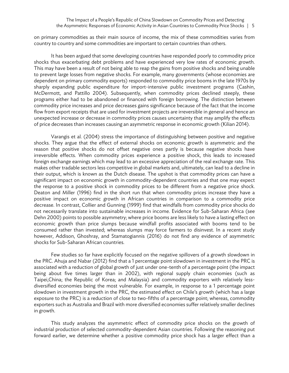on primary commodities as their main source of income, the mix of these commodities varies from country to country and some commodities are important to certain countries than others.

It has been argued that some developing countries have responded poorly to commodity price shocks thus exacerbating debt problems and have experienced very low rates of economic growth. This may have been a result of not being able to reap the gains from positive shocks and being unable to prevent large losses from negative shocks. For example, many governments (whose economies are dependent on primary commodity exports) responded to commodity price booms in the late 1970s by sharply expanding public expenditure for import-intensive public investment programs (Cashin, McDermott, and Pattillo 2004). Subsequently, when commodity prices declined steeply, these programs either had to be abandoned or financed with foreign borrowing. The distinction between commodity price increases and price decreases gains significance because of the fact that the income flow from export receipts that are used for investment projects are irreversible in general and hence an unexpected increase or decrease in commodity prices causes uncertainty that may amplify the effects of price decreases than increases causing an asymmetric response in economic growth (Kilian 2014).

Varangis et al. (2004) stress the importance of distinguishing between positive and negative shocks. They argue that the effect of external shocks on economic growth is asymmetric and the reason that positive shocks do not offset negative ones partly is because negative shocks have irreversible effects. When commodity prices experience a positive shock, this leads to increased foreign exchange earnings which may lead to an excessive appreciation of the real exchange rate. This makes other tradable sectors less competitive in global markets and, ultimately, can lead to a decline in their output, which is known as the Dutch disease. The upshot is that commodity prices can have a significant impact on economic growth in commodity-dependent countries and that one may expect the response to a positive shock in commodity prices to be different from a negative price shock. Deaton and Miller (1996) find in the short run that when commodity prices increase they have a positive impact on economic growth in African countries in comparison to a commodity price decrease. In contrast, Collier and Gunning (1999) find that windfalls from commodity price shocks do not necessarily translate into sustainable increases in income. Evidence for Sub-Saharan Africa (see Dehn 2000) points to possible asymmetry; where price booms are less likely to have a lasting effect on economic growth than price slumps because windfall profits associated with booms tend to be consumed rather than invested; whereas slumps may force farmers to disinvest. In a recent study however, Addison, Ghoshray, and Stamatogiannis (2016) do not find any evidence of asymmetric shocks for Sub-Saharan African countries.

Few studies so far have explicitly focused on the negative spillovers of a growth slowdown in the PRC. Ahuja and Nabar (2012) find that a 1 percentage point slowdown in investment in the PRC is associated with a reduction of global growth of just under one-tenth of a percentage point (the impact being about five times larger than in 2002), with regional supply chain economies (such as Taipei,China; the Republic of Korea; and Malaysia) and commodity exporters with relatively lessdiversified economies being the most vulnerable. For example, in response to a 1 percentage point slowdown in investment growth in the PRC, the estimated effect on Chile's growth (which has a large exposure to the PRC) is a reduction of close to two-fifths of a percentage point; whereas, commodity exporters such as Australia and Brazil with more diversified economies suffer relatively smaller declines in growth.

This study analyzes the asymmetric effect of commodity price shocks on the growth of industrial production of selected commodity-dependent Asian countries. Following the reasoning put forward earlier, we determine whether a positive commodity price shock has a larger effect than a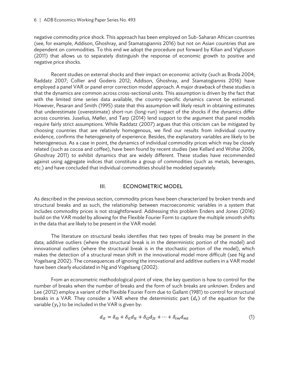negative commodity price shock. This approach has been employed on Sub-Saharan African countries (see, for example, Addison, Ghoshray, and Stamatogiannis 2016) but not on Asian countries that are dependent on commodities. To this end we adopt the procedure put forward by Kilian and Vigfusson (2011) that allows us to separately distinguish the response of economic growth to positive and negative price shocks.

Recent studies on external shocks and their impact on economic activity (such as Broda 2004; Raddatz 2007; Collier and Goderis 2012; Addison, Ghoshray, and Stamatogiannis 2016) have employed a panel VAR or panel error correction model approach. A major drawback of these studies is that the dynamics are common across cross-sectional units. This assumption is driven by the fact that with the limited time series data available, the country-specific dynamics cannot be estimated. However, Pesaran and Smith (1995) state that this assumption will likely result in obtaining estimates that underestimate (overestimate) short-run (long-run) impact of the shocks if the dynamics differ across countries. Juselius, Møller, and Tarp (2014) lend support to the argument that panel models require fairly strict assumptions. While Raddatz (2007) argues that this criticism can be mitigated by choosing countries that are relatively homogenous, we find our results from individual country evidence, confirms the heterogeneity of experience. Besides, the explanatory variables are likely to be heterogeneous. As a case in point, the dynamics of individual commodity prices which may be closely related (such as cocoa and coffee), have been found by recent studies (see Kellard and Wohar 2006, Ghoshray 2011) to exhibit dynamics that are widely different. These studies have recommended against using aggregate indices that constitute a group of commodities (such as metals, beverages, etc.) and have concluded that individual commodities should be modeled separately.

#### III. ECONOMETRIC MODEL

As described in the previous section, commodity prices have been characterized by broken trends and structural breaks and as such, the relationship between macroeconomic variables in a system that includes commodity prices is not straightforward. Addressing this problem Enders and Jones (2016) build on the VAR model by allowing for the Flexible Fourier Form to capture the multiple smooth shifts in the data that are likely to be present in the VAR model.

The literature on structural beaks identifies that two types of breaks may be present in the data; additive outliers (where the structural break is in the deterministic portion of the model) and innovational outliers (where the structural break is in the stochastic portion of the model), which makes the detection of a structural mean shift in the innovational model more difficult (see Ng and Vogelsang 2002). The consequences of ignoring the innovational and additive outliers in a VAR model have been clearly elucidated in Ng and Vogelsang (2002).

From an econometric methodological point of view, the key question is how to control for the number of breaks when the number of breaks and the form of such breaks are unknown. Enders and Lee (2012) employ a variant of the Flexible Fourier Form due to Gallant (1981) to control for structural breaks in a VAR. They consider a VAR where the deterministic part  $(d_t)$  of the equation for the variable  $(y_t)$  to be included in the VAR is given by:

$$
d_{it} = \delta_{i0} + \delta_{i1}d_{1t} + \delta_{i2}d_{2t} + \dots + \delta_{im}d_{mt}
$$
\n<sup>(1)</sup>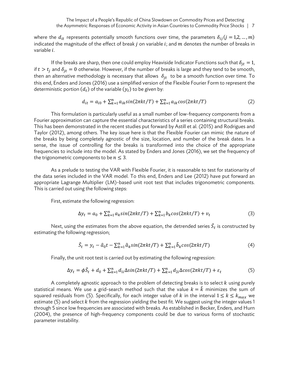where the  $d_{it}$  represents potentially smooth functions over time, the parameters  $\delta_{ij} (j = 1, 2, ..., m)$ indicated the magnitude of the effect of break  $j$  on variable  $i$ ; and  $m$  denotes the number of breaks in variable *i*.

If the breaks are sharp, then one could employ Heaviside Indicator Functions such that  $\delta_{jt} = 1$ , if  $t > t_i$  and  $\delta_{it} = 0$  otherwise. However, if the number of breaks is large and they tend to be smooth, then an alternative methodology is necessary that allows  $\delta_{it}$  to be a smooth function over time. To this end, Enders and Jones (2016) use a simplified version of the Flexible Fourier Form to represent the deterministic portion  $(d_t)$  of the variable  $(y_t)$  to be given by:

$$
d_{it} = a_{i0} + \sum_{k=1}^{n} a_{ik} sin(2\pi kt/T) + \sum_{k=1}^{n} a_{ik} cos(2\pi kt/T)
$$
 (2)

This formulation is particularly useful as a small number of low-frequency components from a Fourier approximation can capture the essential characteristics of a series containing structural breaks. This has been demonstrated in the recent studies put forward by Astill et al. (2015) and Rodrigues and Taylor (2012), among others. The key issue here is that the Flexible Fourier can mimic the nature of the breaks by being completely agnostic of the size, location, and number of the break dates. In a sense, the issue of controlling for the breaks is transformed into the choice of the appropriate frequencies to include into the model. As stated by Enders and Jones (2016), we set the frequency of the trigonometric components to be  $n \leq 3$ .

As a prelude to testing the VAR with Flexible Fourier, it is reasonable to test for stationarity of the data series included in the VAR model. To this end, Enders and Lee (2012) have put forward an appropriate Lagrange Multiplier (LM)-based unit root test that includes trigonometric components. This is carried out using the following steps:

First, estimate the following regression:

$$
\Delta y_t = a_0 + \sum_{k=1}^n a_k \sin(2\pi kt/T) + \sum_{k=1}^n b_k \cos(2\pi kt/T) + v_t
$$
\n(3)

Next, using the estimates from the above equation, the detrended series  $\tilde{S}_t$  is constructed by estimating the following regression;

$$
\tilde{S}_t = y_t - \hat{a}_0 t - \sum_{k=1}^n \hat{a}_k \sin(2\pi kt/T) + \sum_{k=1}^n \hat{b}_k \cos(2\pi kt/T) \tag{4}
$$

Finally, the unit root test is carried out by estimating the following regression:

$$
\Delta y_t = \phi \tilde{S}_t + d_0 + \sum_{k=1}^n d_{1i} \Delta \sin(2\pi kt/T) + \sum_{k=1}^n d_{2i} \Delta \cos(2\pi kt/T) + \varepsilon_t
$$
 (5)

A completely agnostic approach to the problem of detecting breaks is to select  $k$  using purely statistical means. We use a grid-search method such that the value  $k = \hat{k}$  minimizes the sum of squared residuals from (5). Specifically, for each integer value of k in the interval  $1 \le k \le k_{max}$  we estimate (5) and select  $k$  from the regression yielding the best fit. We suggest using the integer values 1 through 5 since low frequencies are associated with breaks. As established in Becker, Enders, and Hurn (2004), the presence of high-frequency components could be due to various forms of stochastic parameter instability.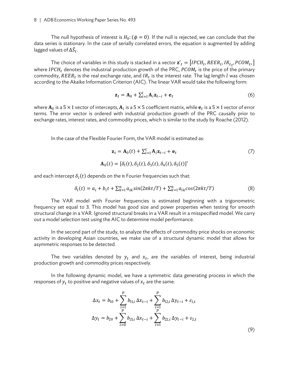The null hypothesis of interest is  $H_0$ : ( $\phi = 0$ ). If the null is rejected, we can conclude that the data series is stationary. In the case of serially correlated errors, the equation is augmented by adding lagged values of  $\Delta \tilde{S}_t.$ 

The choice of variables in this study is stacked in a vector  $\mathbf{z'}_t = [IPCH_t, REER_t, IR_{t}, PCOM_t, ]$ where IPCH<sub>t</sub> denotes the industrial production growth of the PRC,  $PCOM_t$  is the price of the primary commodity,  $REER_t$  is the real exchange rate, and  $IR_t$  is the interest rate. The lag length  $l$  was chosen according to the Akaike Information Criterion (AIC). The linear VAR would take the following form:

$$
\mathbf{z}_t = \mathbf{A}_0 + \sum_{i=1}^l \mathbf{A}_i \mathbf{z}_{t-i} + \mathbf{e}_t \tag{6}
$$

where  $A_0$  is a 5  $\times$  1 vector of intercepts,  $A_i$  is a 5  $\times$  5 coefficient matrix, while  $e_t$  is a 5  $\times$  1 vector of error terms. The error vector is ordered with industrial production growth of the PRC causally prior to exchange rates, interest rates, and commodity prices, which is similar to the study by Roache (2012).

In the case of the Flexible Fourier Form, the VAR model is estimated as:

$$
\mathbf{z}_t = \mathbf{A}_0(t) + \sum_{i=1}^l \mathbf{A}_i \mathbf{z}_{t-i} + \mathbf{e}_t
$$
  

$$
\mathbf{A}_0(t) = [\delta_1(t), \delta_2(t), \delta_3(t), \delta_4(t), \delta_5(t)]'
$$
 (7)

and each intercept  $\delta_i(t)$  depends on the *n* Fourier frequencies such that:

$$
\delta_i(t) = a_i + b_i t + \sum_{k=1}^n a_{ik} \sin(2\pi kt/T) + \sum_{k=1}^n a_{ik} \cos(2\pi kt/T)
$$
 (8)

The VAR model with Fourier frequencies is estimated beginning with a trigonometric frequency set equal to 3. This model has good size and power properties when testing for smooth structural change in a VAR. Ignored structural breaks in a VAR result in a misspecified model. We carry out a model selection test using the AIC to determine model performance.

In the second part of the study, to analyze the effects of commodity price shocks on economic activity in developing Asian countries, we make use of a structural dynamic model that allows for asymmetric responses to be detected.

The two variables denoted by  $y_t$  and  $x_t$ , are the variables of interest, being industrial production growth and commodity prices respectively.

In the following dynamic model, we have a symmetric data generating process in which the responses of  $y_t$  to positive and negative values of  $x_t$  are the same.

$$
\Delta x_t = b_{10} + \sum_{\substack{i=1 \ p}}^p b_{11,i} \Delta x_{t-i} + \sum_{\substack{i=1 \ p}}^p b_{12,i} \Delta y_{t-i} + \varepsilon_{1,t}
$$
  

$$
\Delta y_t = b_{20} + \sum_{i=0}^p b_{21,i} \Delta x_{t-i} + \sum_{i=1}^p b_{22,i} \Delta y_{t-i} + \varepsilon_{2,t}
$$
 (9)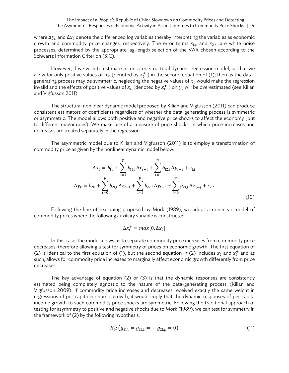where  $\Delta y_t$  and  $\Delta x_t$  denote the differenced log variables thereby interpreting the variables as economic growth and commodity price changes, respectively. The error terms  $\varepsilon_{1,t}$  and  $\varepsilon_{2,t}$ , are white noise processes, determined by the appropriate lag length selection of the VAR chosen according to the Schwartz Information Criterion (SIC).

However, if we wish to estimate a censored structural dynamic regression model, so that we allow for only positive values of  $x_t$  (denoted by  $x_t^{\pm}$  ) in the second equation of (1); then as the datagenerating process may be symmetric, neglecting the negative values of  $x_t$  would make the regression invalid and the effects of positive values of  $x_t$  (denoted by  $x_t^{\pm}$  ) on  $y_t$  will be overestimated (see Kilian and Vigfusson 2011).

The structural nonlinear dynamic model proposed by Kilian and Vigfusson (2011) can produce consistent estimators of coefficients regardless of whether the data-generating process is symmetric or asymmetric. The model allows both positive and negative price shocks to affect the economy (but to different magnitudes). We make use of a measure of price shocks, in which price increases and decreases are treated separately in the regression.

The asymmetric model due to Kilian and Vigfusson (2011) is to employ a transformation of commodity price as given by the nonlinear dynamic model below:

$$
\Delta x_t = b_{10} + \sum_{i=1}^p b_{11,i} \Delta x_{t-i} + \sum_{i=1}^p b_{12,i} \Delta y_{t-i} + \varepsilon_{1,t}
$$
  

$$
\Delta y_t = b_{20} + \sum_{i=0}^p b_{21,i} \Delta x_{t-i} + \sum_{i=1}^p b_{22,i} \Delta y_{t-i} + \sum_{i=0}^p g_{21,i} \Delta x_{t-i}^+ + \varepsilon_{2,t}
$$
(10)

Following the line of reasoning proposed by Mork (1989), we adopt a nonlinear model of commodity prices where the following auxiliary variable is constructed:

$$
\Delta x_t^+ = max[0, \Delta x_t]
$$

In this case, the model allows us to separate commodity price increases from commodity price decreases, therefore allowing a test for symmetry of prices on economic growth. The first equation of (2) is identical to the first equation of (1); but the second equation in (2) includes  $x_t$  and  $x_t^+$  and as such, allows for commodity price increases to marginally affect economic growth differently from price decreases.

The key advantage of equation (2) or (3) is that the dynamic responses are consistently estimated being completely agnostic to the nature of the data-generating process (Kilian and Vigfusson 2009). If commodity price increases and decreases received exactly the same weight in regressions of per capita economic growth, it would imply that the dynamic responses of per capita income growth to such commodity price shocks are symmetric. Following the traditional approach of testing for asymmetry to positive and negative shocks due to Mork (1989), we can test for symmetry in the framework of (2) by the following hypothesis:

$$
H_0: (g_{21,1} = g_{21,2} = \cdots g_{21,p} = 0)
$$
\n(11)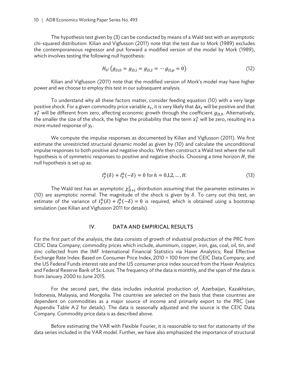The hypothesis test given by (3) can be conducted by means of a Wald test with an asymptotic chi-squared distribution. Kilian and Vigfusson (2011) note that the test due to Mork (1989) excludes the contemporaneous regressor and put forward a modified version of the model by Mork (1989), which involves testing the following null hypothesis:

$$
H_0: (g_{21,0} = g_{21,1} = g_{21,2} = \cdots g_{21,p} = 0)
$$
\n(12)

Kilian and Vigfusson (2011) note that the modified version of Mork's model may have higher power and we choose to employ this test in our subsequent analysis.

To understand why all these factors matter, consider feeding equation (10) with a very large positive shock. For a given commodity price variable  $x_t$ , it is very likely that  $\Delta x_t$  will be positive and that  $x_T^{\pm}$  will be different from zero, affecting economic growth through the coefficient  $g_{21,0}$ . Alternatively, the smaller the size of the shock, the higher the probability that the term  $x_T^+$  will be zero, resulting in a more muted response of  $y_t$ .

We compute the impulse responses as documented by Kilian and Vigfusson (2011). We first estimate the unrestricted structural dynamic model as given by (10) and calculate the unconditional impulse responses to both positive and negative shocks. We then construct a Wald test where the null hypothesis is of symmetric responses to positive and negative shocks. Choosing a time horizon  $H$ , the null hypothesis is set up as:

$$
I_y^h(\delta) + I_y^h(-\delta) = 0 \text{ for } h = 0, 1, 2, \dots, H.
$$
 (13)

The Wald test has an asymptotic  $\chi^2_{H+1}$  distribution assuming that the parameter estimates in (10) are asymptotic normal. The magnitude of the shock is given by  $\delta$ . To carry out this test, an estimate of the variance of  $I_y^h(\delta) + I_y^h(-\delta) = 0$  is required, which is obtained using a bootstrap simulation (see Kilian and Vigfusson 2011 for details).

### IV. DATA AND EMPIRICAL RESULTS

For the first part of the analysis, the data consists of growth of industrial production of the PRC from CEIC Data Company; commodity prices which include, aluminium, copper, iron, gas, coal, oil, tin, and zinc collected from the IMF International Financial Statistics via Haver Analytics; Real Effective Exchange Rate Index: Based on Consumer Price Index, 2010 = 100 from the CEIC Data Company; and the US Federal Funds interest rate and the US consumer price index sourced from the Haver Analytics and Federal Reserve Bank of St. Louis. The frequency of the data is monthly, and the span of the data is from January 2000 to June 2015.

For the second part, the data includes industrial production of, Azerbaijan, Kazakhstan, Indonesia, Malaysia, and Mongolia. The countries are selected on the basis that these countries are dependent on commodities as a major source of income and primarily export to the PRC (see Appendix Table A.2 for details). The data is seasonally adjusted and the source is the CEIC Data Company. Commodity price data is as described above.

Before estimating the VAR with Flexible Fourier, it is reasonable to test for stationarity of the data series included in the VAR model. Further, we have also emphasized the importance of structural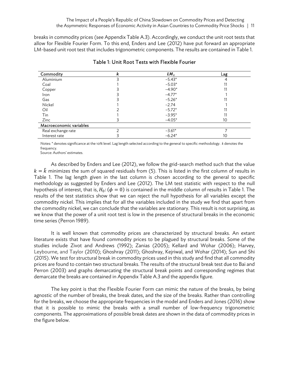breaks in commodity prices (see Appendix Table A.3). Accordingly, we conduct the unit root tests that allow for Flexible Fourier Form. To this end, Enders and Lee (2012) have put forward an appropriate LM-based unit root test that includes trigonometric components. The results are contained in Table 1.

| Commodity               | k | $LM_{\tau}$ | Lag |
|-------------------------|---|-------------|-----|
| Aluminium               |   | $-5.43*$    |     |
| Coal                    |   | $-5.03*$    |     |
| Copper                  |   | $-4.90*$    |     |
| Iron                    |   | $-4.77*$    |     |
| Gas                     |   | $-5.26*$    |     |
| Nickel                  |   | $-2.74$     |     |
| Oil                     |   | $-5.72*$    |     |
| Tin                     |   | $-3.95*$    |     |
| Zinc                    |   | $-4.05*$    | 10  |
| Macroeconomic variables |   |             |     |
| Real exchange rate      |   | $-3.61*$    |     |
| Interest rate           |   | $-6.24*$    | 10  |

#### Table 1: Unit Root Tests with Flexible Fourier

Notes: \* denotes significance at the 10% level. Lag length selected according to the general to specific methodology. *k* denotes the frequency.

Source: Authors' estimates.

As described by Enders and Lee (2012), we follow the grid-search method such that the value  $k = \hat{k}$  minimizes the sum of squared residuals from (5). This is listed in the first column of results in Table 1. The lag length given in the last column is chosen according to the general to specific methodology as suggested by Enders and Lee (2012). The LM test statistic with respect to the null hypothesis of interest, that is,  $H_0$ :  $(\phi = 0)$  is contained in the middle column of results in Table 1. The results of the test statistics show that we can reject the null hypothesis for all variables except the commodity nickel. This implies that for all the variables included in the study we find that apart from the commodity nickel, we can conclude that the variables are stationary. This result is not surprising, as we know that the power of a unit root test is low in the presence of structural breaks in the economic time series (Perron 1989).

It is well known that commodity prices are characterized by structural breaks. An extant literature exists that have found commodity prices to be plagued by structural breaks. Some of the studies include Zivot and Andrews (1992); Zanias (2005); Kellard and Wohar (2006); Harvey, Leybourne, and Taylor (2010); Ghoshray (2011); Ghoshray, Kejriwal, and Wohar (2014); Sun and Shi (2015). We test for structural break in commodity prices used in this study and find that all commodity prices are found to contain two structural breaks. The results of the structural break test due to Bai and Perron (2003) and graphs demarcating the structural break points and corresponding regimes that demarcate the breaks are contained in Appendix Table A.3 and the appendix figure.

The key point is that the Flexible Fourier Form can mimic the nature of the breaks, by being agnostic of the number of breaks, the break dates, and the size of the breaks. Rather than controlling for the breaks, we choose the appropriate frequencies in the model and Enders and Jones (2016) show that it is possible to mimic the breaks with a small number of low-frequency trigonometric components. The approximations of possible break dates are shown in the data of commodity prices in the figure below.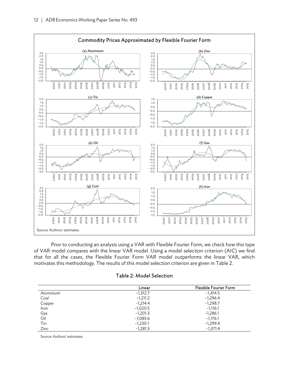

Prior to conducting an analysis using a VAR with Flexible Fourier Form, we check how this type of VAR model compares with the linear VAR model. Using a model selection criterion (AIC) we find that for all the cases, the Flexible Fourier Form VAR model outperforms the linear VAR, which motivates this methodology. The results of this model selection criterion are given in Table 2.

### Table 2: Model Selection

|           | Linear     | <b>Flexible Fourier Form</b> |
|-----------|------------|------------------------------|
| Aluminium | $-1,312.7$ | $-1,414.5$                   |
| Coal      | $-1,211.2$ | $-1,296.4$                   |
| Copper    | $-1,214,4$ | $-1,298.7$                   |
| Iron      | $-1,020.5$ | $-1,116.1$                   |
| Gas       | $-1,201.3$ | $-1,286.1$                   |
| Oil       | $-1,085.6$ | $-1,176.1$                   |
| Tin       | $-1,230.1$ | $-1,299.4$                   |
| Zinc      | $-1,281.3$ | $-1.371.4$                   |

Source: Authors' estimates.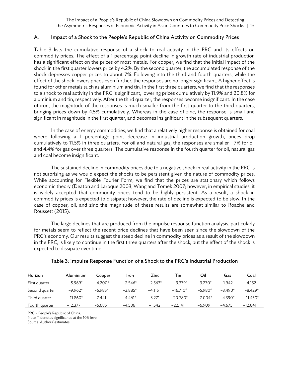### A. Impact of a Shock to the People's Republic of China Activity on Commodity Prices

Table 3 lists the cumulative response of a shock to real activity in the PRC and its effects on commodity prices. The effect of a 1 percentage point decline in growth rate of industrial production has a significant effect on the prices of most metals. For copper, we find that the initial impact of the shock in the first quarter lowers price by 4.2%. By the second quarter, the accumulated response of the shock depresses copper prices to about 7%. Following into the third and fourth quarters, while the effect of the shock lowers prices even further, the responses are no longer significant. A higher effect is found for other metals such as aluminium and tin. In the first three quarters, we find that the responses to a shock to real activity in the PRC is significant, lowering prices cumulatively by 11.9% and 20.8% for aluminium and tin, respectively. After the third quarter, the responses become insignificant. In the case of iron, the magnitude of the responses is much smaller from the first quarter to the third quarters, bringing prices down by 4.5% cumulatively. Whereas in the case of zinc, the response is small and significant in magnitude in the first quarter, and becomes insignificant in the subsequent quarters.

In the case of energy commodities, we find that a relatively higher response is obtained for coal where following a 1 percentage point decrease in industrial production growth, prices drop cumulatively to 11.5% in three quarters. For oil and natural gas, the responses are smaller—7% for oil and 4.4% for gas over three quarters. The cumulative response in the fourth quarter for oil, natural gas and coal become insignificant.

The sustained decline in commodity prices due to a negative shock in real activity in the PRC is not surprising as we would expect the shocks to be persistent given the nature of commodity prices. While accounting for Flexible Fourier Form, we find that the prices are stationary which follows economic theory (Deaton and Laroque 2003, Wang and Tomek 2007; however, in empirical studies, it is widely accepted that commodity prices tend to be highly persistent. As a result, a shock in commodity prices is expected to dissipate; however, the rate of decline is expected to be slow. In the case of copper, oil, and zinc the magnitude of these results are somewhat similar to Roache and Roussett (2015).

The large declines that are produced from the impulse response function analysis, particularly for metals seem to reflect the recent price declines that have been seen since the slowdown of the PRC's economy. Our results suggest the steep decline in commodity prices as a result of the slowdown in the PRC, is likely to continue in the first three quarters after the shock, but the effect of the shock is expected to dissipate over time.

| Horizon        | Aluminium  | Copper    | Iron      | <b>Zinc</b> | Tin        | Oil       | Gas       | Coal       |
|----------------|------------|-----------|-----------|-------------|------------|-----------|-----------|------------|
| First quarter  | $-5.969*$  | $-4.200*$ | $-2.546*$ | $-2.563*$   | $-9.379*$  | $-3.270*$ | $-1.942$  | $-4.152$   |
| Second quarter | $-9.962*$  | $-6.985*$ | $-3.885*$ | $-4.115$    | $-16.710*$ | $-5.980*$ | $-3490*$  | $-8.429*$  |
| Third quarter  | $-11.860*$ | $-7.441$  | $-4.461*$ | $-3.271$    | $-20.780*$ | $-7.004*$ | $-4.390*$ | $-11.450*$ |
| Fourth guarter | $-12.377$  | $-6.685$  | $-4.586$  | $-1.542$    | $-22.141$  | $-6.909$  | $-4.675$  | $-12.841$  |

### Table 3: Impulse Response Function of a Shock to the PRC's Industrial Production

PRC = People's Republic of China.

Note: \* denotes significance at the 10% level.

Source: Authors' estimates.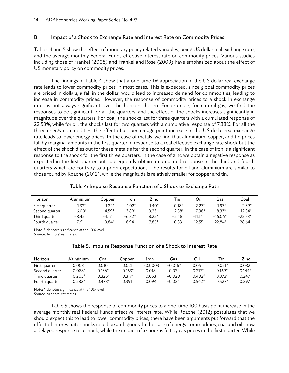## B. Impact of a Shock to Exchange Rate and Interest Rate on Commodity Prices

Tables 4 and 5 show the effect of monetary policy related variables, being US dollar real exchange rate, and the average monthly Federal Funds effective interest rate on commodity prices. Various studies including those of Frankel (2008) and Frankel and Rose (2009) have emphasized about the effect of US monetary policy on commodity prices.

The findings in Table 4 show that a one-time 1% appreciation in the US dollar real exchange rate leads to lower commodity prices in most cases. This is expected, since global commodity prices are priced in dollars, a fall in the dollar, would lead to increased demand for commodities, leading to increase in commodity prices. However, the response of commodity prices to a shock in exchange rates is not always significant over the horizon chosen. For example, for natural gas, we find the responses to be significant for all the quarters, and the effect of the shocks increases significantly in magnitude over the quarters. For coal, the shocks last for three quarters with a cumulated response of 22.53%, while for oil, the shocks last for two quarters with a cumulative response of 7.38%. For all the three energy commodities, the effect of a 1 percentage point increase in the US dollar real exchange rate leads to lower energy prices. In the case of metals, we find that aluminium, copper, and tin prices fall by marginal amounts in the first quarter in response to a real effective exchange rate shock but the effect of the shock dies out for these metals after the second quarter. In the case of iron is a significant response to the shock for the first three quarters. In the case of zinc we obtain a negative response as expected in the first quarter but subsequently obtain a cumulated response in the third and fourth quarters which are contrary to a priori expectations. The results for oil and aluminium are similar to those found by Roache (2012), while the magnitude is relatively smaller for copper and tin.

## Table 4: Impulse Response Function of a Shock to Exchange Rate

| Horizon        | Aluminium | Copper   | Iron     | Zinc     | Tin      | Oil      | Gas       | Coal      |
|----------------|-----------|----------|----------|----------|----------|----------|-----------|-----------|
| First quarter  | $-1.33*$  | $-1.22*$ | $-1.02*$ | $-1.40*$ | $-0.18*$ | $-2.27*$ | $-197*$   | $-2.39*$  |
| Second quarter | $-6.00*$  | $-4.59*$ | $-3.89*$ | 0.23     | $-2.38*$ | $-7.38*$ | $-8.33*$  | $-12.34*$ |
| Third quarter  | $-8.42$   | $-4.17$  | $-6.82*$ | $8.22*$  | $-2.48$  | $-11.14$ | $-16.06*$ | $-22.53*$ |
| Fourth quarter | $-7.61$   | $-0.84*$ | $-894$   | $17.85*$ | $-0.33$  | $-12.55$ | $-22.84*$ | $-28.64$  |

Note: \* denotes significance at the 10% level.

Source: Authors' estimates.

## Table 5: Impulse Response Function of a Shock to Interest Rate

| Horizon        | Aluminium | Coal   | Copper      | Iron      | Gas       | Oil      | $T_{\rm in}$ | Zinc     |
|----------------|-----------|--------|-------------|-----------|-----------|----------|--------------|----------|
| First guarter  | 0.003     | 0.010  | 0.021       | $-0.0003$ | $-0.016*$ | 0.051    | $0.021*$     | 0.032    |
| Second quarter | 0.088*    | 0.136* | $0.163*$    | 0.018     | $-0.034$  | $0.217*$ | $0.169*$     | $0.144*$ |
| Third quarter  | $0.205*$  | 0.326* | $0.317^{*}$ | 0.053     | $-0.020$  | $0.402*$ | $0.373*$     | 0.247    |
| Fourth quarter | 0.282*    | 0.478* | 0.391       | በ በ94     | $-0.024$  | $0.562*$ | $0.527*$     | 0.297    |

Note: \* denotes significance at the 10% level.

Source: Authors' estimates.

Table 5 shows the response of commodity prices to a one-time 100 basis point increase in the average monthly real Federal Funds effective interest rate. While Roache (2012) postulates that we should expect this to lead to lower commodity prices, there have been arguments put forward that the effect of interest rate shocks could be ambiguous. In the case of energy commodities, coal and oil show a delayed response to a shock, while the impact of a shock is felt by gas prices in the first quarter. While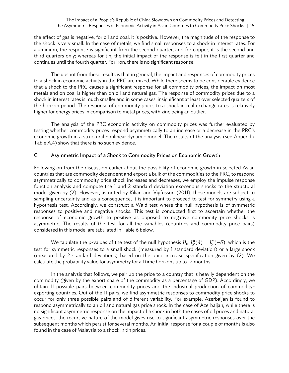the effect of gas is negative, for oil and coal, it is positive. However, the magnitude of the response to the shock is very small. In the case of metals, we find small responses to a shock in interest rates. For aluminium, the response is significant from the second quarter, and for copper, it is the second and third quarters only; whereas for tin, the initial impact of the response is felt in the first quarter and continues until the fourth quarter. For iron, there is no significant response.

The upshot from these results is that in general, the impact and responses of commodity prices to a shock in economic activity in the PRC are mixed. While there seems to be considerable evidence that a shock to the PRC causes a significant response for all commodity prices, the impact on most metals and on coal is higher than on oil and natural gas. The response of commodity prices due to a shock in interest rates is much smaller and in some cases, insignificant at least over selected quarters of the horizon period. The response of commodity prices to a shock in real exchange rates is relatively higher for energy prices in comparison to metal prices, with zinc being an outlier.

The analysis of the PRC economic activity on commodity prices was further evaluated by testing whether commodity prices respond asymmetrically to an increase or a decrease in the PRC's economic growth in a structural nonlinear dynamic model. The results of the analysis (see Appendix Table A.4) show that there is no such evidence.

## C. Asymmetric Impact of a Shock to Commodity Prices on Economic Growth

Following on from the discussion earlier about the possibility of economic growth in selected Asian countries that are commodity dependent and export a bulk of the commodities to the PRC, to respond asymmetrically to commodity price shock increases and decreases, we employ the impulse response function analysis and compute the 1 and 2 standard deviation exogenous shocks to the structural model given by (2). However, as noted by Kilian and Vigfusson (2011), these models are subject to sampling uncertainty and as a consequence, it is important to proceed to test for symmetry using a hypothesis test. Accordingly, we construct a Wald test where the null hypothesis is of symmetric responses to positive and negative shocks. This test is conducted first to ascertain whether the response of economic growth to positive as opposed to negative commodity price shocks is asymmetric. The results of the test for all the variables (countries and commodity price pairs) considered in this model are tabulated in Table 6 below.

We tabulate the p-values of the test of the null hypothesis  $H_0: I_y^h(\delta) = I_y^h(-\delta)$ , which is the test for symmetric responses to a small shock (measured by 1 standard deviation) or a large shock (measured by 2 standard deviations) based on the price increase specification given by (2). We calculate the probability value for asymmetry for all time horizons up to 12 months.

In the analysis that follows, we pair up the price to a country that is heavily dependent on the commodity (given by the export share of the commodity as a percentage of GDP). Accordingly, we obtain 11 possible pairs between commodity prices and the industrial production of commodityexporting countries. Out of the 11 pairs, we find asymmetric responses to commodity price shocks to occur for only three possible pairs and of different variability. For example, Azerbaijan is found to respond asymmetrically to an oil and natural gas price shock. In the case of Azerbaijan, while there is no significant asymmetric response on the impact of a shock in both the cases of oil prices and natural gas prices, the recursive nature of the model gives rise to significant asymmetric responses over the subsequent months which persist for several months. An initial response for a couple of months is also found in the case of Malaysia to a shock in tin prices.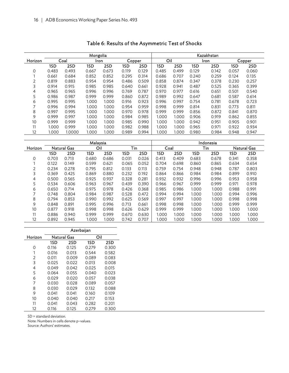|         |       |        | Mongolia |       |        |       |       |       |       | Kazakhstan |        |       |
|---------|-------|--------|----------|-------|--------|-------|-------|-------|-------|------------|--------|-------|
| Horizon | Coal  |        | Iron     |       | Copper |       | Oil   |       | Iron  |            | Copper |       |
|         | 1SD   | 2SD    | 1SD      | 2SD   | 1SD    | 2SD   | 1SD   | 2SD   | 1SD   | 2SD        | 1SD    | 2SD   |
| 0       | 0.483 | 0.493  | 0.667    | 0.673 | 0.119  | 0.129 | 0.485 | 0.499 | 0.129 | 0.142      | 0.057  | 0.060 |
|         | 0.661 | 0.684  | 0.852    | 0.852 | 0.295  | 0.314 | 0.686 | 0.707 | 0.240 | 0.259      | 0.124  | 0.135 |
| 2       | 0.819 | 0.883  | 0.954    | 0.954 | 0.486  | 0.509 | 0.858 | 0.874 | 0.347 | 0.378      | 0.230  | 0.257 |
| 3       | 0.914 | 0.915  | 0.985    | 0.985 | 0.640  | 0.661 | 0.928 | 0.941 | 0.487 | 0.525      | 0.365  | 0.399 |
| 4       | 0.965 | 0.965  | 0.996    | 0.996 | 0.769  | 0.787 | 0.970 | 0.977 | 0.616 | 0.651      | 0.501  | 0.540 |
| 5       | 0.986 | 0.987  | 0.999    | 0.999 | 0.860  | 0.872 | 0.989 | 0.992 | 0.647 | 0.681      | 0.587  | 0.614 |
| 6       | 0.995 | 0.995  | 1.000    | 1.000 | 0.916  | 0.923 | 0.996 | 0.997 | 0.754 | 0.781      | 0.678  | 0.723 |
| 7       | 0.996 | 0.994  | 1.000    | 1.000 | 0.954  | 0.959 | 0.998 | 0.999 | 0.814 | 0.831      | 0.773  | 0.811 |
| 8       | 0.997 | 0.995  | 1.000    | 1.000 | 0.970  | 0.978 | 0.999 | 0.999 | 0.856 | 0.872      | 0.841  | 0.870 |
| 9       | 0.999 | 0.997  | 1.000    | 1.000 | 0.984  | 0.985 | 1.000 | 1.000 | 0.906 | 0.919      | 0.862  | 0.855 |
| 10      | 0.999 | 0.999  | 1.000    | 1.000 | 0.985  | 0.990 | 1.000 | 1.000 | 0.942 | 0.951      | 0.905  | 0.901 |
| 11      | 1.000 | 0.999  | 1.000    | 1.000 | 0.982  | 0.988 | 1.000 | 1.000 | 0.965 | 0.971      | 0.922  | 0.934 |
| 12      | 1.000 | 1.0000 | 1.000    | 1.000 | 0.989  | 0.994 | 1.000 | 1.000 | 0.980 | 0.984      | 0.948  | 0.947 |

# Table 6: Results of the Asymmetric Test of Shocks

|         |                    |       | Malaysia |       |       |       | Indonesia |       |       |       |             |       |  |
|---------|--------------------|-------|----------|-------|-------|-------|-----------|-------|-------|-------|-------------|-------|--|
| Horizon | <b>Natural Gas</b> |       | Oil      |       |       | Tin   |           | Coal  |       | Tin   | Natural Gas |       |  |
|         | 1SD                | 2SD   | 1SD      | 2SD   | 1SD   | 2SD   | 1SD       | 2SD   | 1SD   | 2SD   | 1SD         | 2SD   |  |
| 0       | 0.703              | 0.713 | 0.680    | 0.686 | 0.031 | 0.026 | 0.413     | 0.409 | 0.683 | 0.678 | 0.341       | 0.358 |  |
|         | 0.122              | 0.149 | 0.599    | 0.621 | 0.065 | 0.052 | 0.704     | 0.698 | 0.860 | 0.865 | 0.634       | 0.654 |  |
| 2       | 0.234              | 0.278 | 0.795    | 0.812 | 0.133 | 0.113 | 0.759     | 0.754 | 0.948 | 0.948 | 0.787       | 0.803 |  |
| 3       | 0.369              | 0.425 | 0.869    | 0.880 | 0.232 | 0.192 | 0.864     | 0.866 | 0.984 | 0.984 | 0.899       | 0.910 |  |
| 4       | 0.500              | 0.565 | 0.925    | 0.937 | 0.328 | 0.281 | 0.932     | 0.932 | 0.996 | 0.996 | 0.953       | 0.958 |  |
| 5       | 0.534              | 0.606 | 0.963    | 0.967 | 0.439 | 0.390 | 0.966     | 0.967 | 0.999 | 0.999 | 0.971       | 0.978 |  |
| 6       | 0.650              | 0.714 | 0.975    | 0.978 | 0.426 | 0.368 | 0.985     | 0.986 | 1.000 | 1.000 | 0.988       | 0.991 |  |
|         | 0.748              | 0.804 | 0.984    | 0.987 | 0.528 | 0.472 | 0.994     | 0.994 | 1.000 | 1.000 | 0.994       | 0.996 |  |
| 8       | 0.794              | 0.853 | 0.990    | 0.992 | 0.625 | 0.569 | 0.997     | 0.997 | 1.000 | 1.000 | 0.998       | 0.998 |  |
| 9       | 0.848              | 0.891 | 0.995    | 0.996 | 0.713 | 0.661 | 0.998     | 0.998 | 1.000 | 1.000 | 0.999       | 0.999 |  |
| 10      | 0.877              | 0.918 | 0.998    | 0.998 | 0.626 | 0.629 | 0.999     | 0.999 | 1.000 | 1.000 | 1.000       | 1.000 |  |
| 11      | 0.886              | 0.940 | 0.999    | 0.999 | 0.670 | 0.630 | 1.000     | 1.000 | 1.000 | 1.000 | 1.000       | 1.000 |  |
| 12      | 0.892              | 0.945 | 1.000    | 1.000 | 0.742 | 0.707 | 1.000     | 1.000 | 1.000 | 1.000 | 1.000       | 1.000 |  |

|         | Azerbaijan |             |       |       |  |  |  |  |  |  |
|---------|------------|-------------|-------|-------|--|--|--|--|--|--|
| Horizon |            | Natural Gas | Oil   |       |  |  |  |  |  |  |
|         | 1SD        | 2SD         | 1SD   | 2SD   |  |  |  |  |  |  |
| Ω       | 0.116      | 0.125       | 0.279 | 0.300 |  |  |  |  |  |  |
| 1       | 0.016      | 0.013       | 0.544 | 0.582 |  |  |  |  |  |  |
| 2       | 0.011      | 0.009       | 0.089 | 0.083 |  |  |  |  |  |  |
| 3       | 0.025      | 0.022       | 0.013 | 0.008 |  |  |  |  |  |  |
| 4       | 0.049      | 0.042       | 0.025 | 0.015 |  |  |  |  |  |  |
| 5       | 0.064      | 0.055       | 0.040 | 0.023 |  |  |  |  |  |  |
| 6       | 0.029      | 0.020       | 0.057 | 0.038 |  |  |  |  |  |  |
| 7       | 0.030      | 0.028       | 0.089 | 0.057 |  |  |  |  |  |  |
| 8       | 0.030      | 0.029       | 0.132 | 0.088 |  |  |  |  |  |  |
| 9       | 0.041      | 0.041       | 0.160 | 0.109 |  |  |  |  |  |  |
| 10      | 0.040      | 0.040       | 0.217 | 0.153 |  |  |  |  |  |  |
| 11      | 0.041      | 0.043       | 0.282 | 0.201 |  |  |  |  |  |  |
| 12      | 0.116      | 0.125       | 0.279 | 0.300 |  |  |  |  |  |  |

SD = standard deviation.

Note: Numbers in cells denote p–values.

Source: Authors' estimates.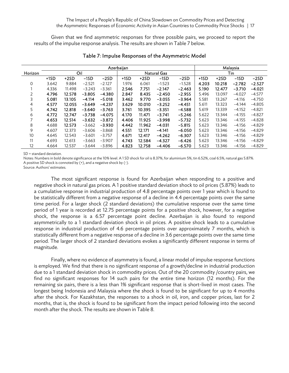Given that we find asymmetric responses for three possible pairs, we proceed to report the results of the impulse response analysis. The results are shown in Table 7 below.

|         |        | Azerbaijan |          |          |        |        |                    |          |        |        | Malaysia |          |
|---------|--------|------------|----------|----------|--------|--------|--------------------|----------|--------|--------|----------|----------|
| Horizon |        |            | Oil      |          |        |        | <b>Natural Gas</b> |          | Tin    |        |          |          |
|         | $+1SD$ | $+2SD$     | $-1SD$   | $-2SD$   | $+1SD$ | $+2SD$ | $-1SD$             | $-2SD$   | $+1SD$ | $+2SD$ | $-1SD$   | $-2SD$   |
| 0       | 3.642  | 9.884      | $-2.521$ | $-2.127$ | 1.976  | 6.061  | $-1.523$           | $-1.528$ | 4.203  | 10.218 | $-2.782$ | $-2.527$ |
|         | 4.336  | 11.498     | $-3.243$ | $-3.361$ | 2.546  | 7.751  | $-2.147$           | $-2.463$ | 5.190  | 12.477 | $-3.710$ | $-4.021$ |
| 2       | 4.796  | 12.578     | $-3.805$ | $-4.380$ | 2.847  | 8.435  | $-2.450$           | $-2.955$ | 5.496  | 13.097 | $-4.027$ | $-4.577$ |
| 3       | 5.081  | 13.105     | $-4.114$ | $-5.018$ | 3.462  | 9.770  | $-3.055$           | $-3.964$ | 5.581  | 13.267 | $-4.116$ | $-4.750$ |
| 4       | 4.577  | 12.055     | $-3.649$ | $-4.237$ | 3.629  | 10.010 | $-3.252$           | $-4.451$ | 5.611  | 13.323 | $-4.144$ | $-4.805$ |
| 5       | 4.742  | 12.818     | $-3.640$ | $-3.763$ | 3.761  | 10.395 | $-3.351$           | $-4.588$ | 5.619  | 13.339 | $-4.152$ | $-4.821$ |
| 6       | 4.772  | 12.747     | $-3.738$ | $-4.075$ | 4.170  | 11.471 | $-3.741$           | $-5.246$ | 5.622  | 13.344 | $-4.155$ | $-4.827$ |
|         | 4.653  | 12.514     | $-3.632$ | $-3.872$ | 4.406  | 11.925 | $-3.998$           | $-5.732$ | 5.623  | 13.346 | $-4.155$ | $-4.828$ |
| 8       | 4.688  | 12.573     | $-3.662$ | $-3.930$ | 4.442  | 11.962 | $-4.031$           | $-5.815$ | 5.623  | 13.346 | $-4.156$ | $-4.829$ |
| 9       | 4.607  | 12.373     | $-3.606$ | $-3.868$ | 4.551  | 12.171 | $-4.141$           | $-6.050$ | 5.623  | 13.346 | $-4.156$ | $-4.829$ |
| 10      | 4.645  | 12.543     | $-3.601$ | $-3.757$ | 4.671  | 12.417 | $-4.262$           | $-6.307$ | 5.623  | 13.346 | $-4.156$ | $-4.829$ |
| 11      | 4.693  | 12.613     | $-3.663$ | $-3.907$ | 4.743  | 12.584 | $-4.327$           | $-6.426$ | 5.623  | 13.346 | $-4.156$ | $-4.829$ |
| 12      | 4.664  | 12.537     | $-3.644$ | $-3.896$ | 4.823  | 12.758 | $-4.406$           | $-6.570$ | 5.623  | 13.346 | $-4.156$ | $-4.829$ |

#### Table 7: Impulse Responses of the Asymmetric Model

SD = standard deviation.

Notes: Numbers in bold denote significance at the 10% level. A 1 SD shock for oil is 8.37%, for aluminium 5%, tin 6.52%, coal 6.5%, natural gas 5.87%. A positive SD shock is connoted by (+), and a negative shock by (-).

Source: Authors' estimates.

The most significant response is found for Azerbaijan when responding to a positive and negative shock in natural gas prices. A 1 positive standard deviation shock to oil prices (5.87%) leads to a cumulative response in industrial production of 4.8 percentage points over 1 year which is found to be statistically different from a negative response of a decline in 4.4 percentage points over the same time period. For a larger shock (2 standard deviations) the cumulative response over the same time period of 1 year is recorded at 12.75 percentage points for a positive shock, however, for a negative shock, the response is a 6.57 percentage point decline. Azerbaijan is also found to respond asymmetrically to a 1 standard deviation shock in oil prices. A positive shock leads to a cumulative response in industrial production of 4.6 percentage points over approximately 7 months, which is statistically different from a negative response of a decline in 3.6 percentage points over the same time period. The larger shock of 2 standard deviations evokes a significantly different response in terms of magnitude.

Finally, where no evidence of asymmetry is found, a linear model of impulse response functions is employed. We find that there is no significant response of a growth/decline in industrial production due to a 1 standard deviation shock in commodity prices. Out of the 20 commodity /country pairs, we find no significant responses for 14 such pairs for the entire time horizon (12 months). For the remaining six pairs, there is a less than 1% significant response that is short-lived in most cases. The longest being Indonesia and Malaysia where the shock is found to be significant for up to 4 months after the shock. For Kazakhstan, the responses to a shock in oil, iron, and copper prices, last for 2 months, that is, the shock is found to be significant from the impact period following into the second month after the shock. The results are shown in Table 8.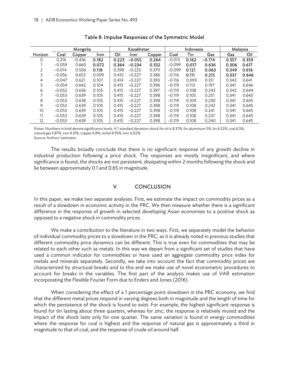|         | Mongolia |          |       | Kazakhstan |          |        | Indonesia |       |          | Malaysia |       |
|---------|----------|----------|-------|------------|----------|--------|-----------|-------|----------|----------|-------|
| Horizon | Coal     | Copper   | Iron  | Oil        | Iron     | Copper | Coal      | Tin   | Gas      | Gas      | Oil   |
| 0       | 0.216    | $-0.436$ | 0.182 | 0.223      | $-0.055$ | 0.264  | $-0.013$  | 0.162 | $-0.174$ | 0.357    | 0.359 |
|         | $-0.059$ | 0.660    | 0.072 | 0.364      | $-0.234$ | 0.332  | $-0.099$  | 0.017 | 0.636    | 0.306    | 0.617 |
| 2       | $-0.014$ | 0.506    | 0.118 | 0.398      | $-0.225$ | 0.370  | $-0.099$  | 0.121 | 0.063    | 0.349    | 0.616 |
| 3       | $-0.056$ | 0.653    | 0.099 | 0.410      | $-0.227$ | 0.386  | $-0.116$  | 0.111 | 0.215    | 0.337    | 0.646 |
| 4       | $-0.047$ | 0.621    | 0.107 | 0.414      | $-0.227$ | 0.393  | $-0.116$  | 0.093 | 0.311    | 0.343    | 0.641 |
| 5       | $-0.054$ | 0.642    | 0.104 | 0.415      | $-0.227$ | 0.396  | $-0.119$  | 0.113 | 0.197    | 0.341    | 0.646 |
| 6       | $-0.052$ | 0.636    | 0.105 | 0.415      | $-0.227$ | 0.397  | $-0.119$  | 0.108 | 0.243    | 0.342    | 0.644 |
|         | $-0.053$ | 0.639    | 0.105 | 0.415      | $-0.227$ | 0.398  | $-0.119$  | 0.105 | 0.251    | 0.341    | 0.645 |
| 8       | $-0.053$ | 0.638    | 0.105 | 0.415      | $-0.227$ | 0.398  | $-0.119$  | 0.109 | 0.230    | 0.341    | 0.645 |
| 9       | $-0.053$ | 0.639    | 0.105 | 0.415      | $-0.227$ | 0.398  | $-0.119$  | 0.108 | 0.242    | 0.341    | 0.645 |
| 10      | $-0.053$ | 0.639    | 0.105 | 0.415      | $-0.227$ | 0.398  | $-0.119$  | 0.108 | 0.241    | 0.341    | 0.645 |
| 11      | $-0.053$ | 0.639    | 0.105 | 0.415      | $-0.227$ | 0.398  | $-0.119$  | 0.108 | 0.237    | 0.341    | 0.645 |
| 12      | $-0.053$ | 0.639    | 0.105 | 0.415      | $-0.227$ | 0.398  | $-0.119$  | 0.108 | 0.240    | 0.341    | 0.645 |

#### Table 8: Impulse Responses of the Symmetric Model

Notes: Numbers in bold denote significance levels. A 1 standard deviation shock for oil is 8.37%, for aluminium 5%, tin 6.52%, coal 6.5%, natural gas 5.87%, iron 8.31%, copper 6.8%, nickel 8.95%, zinc 6.02%. Source: Authors' estimates.

The results broadly conclude that there is no significant response of any growth decline in industrial production following a price shock. The responses are mostly insignificant, and where significance is found, the shocks are not persistent, dissipating within 2 months following the shock and lie between approximately 0.1 and 0.65 in magnitude.

### V. CONCLUSION

In this paper, we make two separate analyses. First, we estimate the impact on commodity prices as a result of a slowdown in economic activity in the PRC. We then measure whether there is a significant difference in the response of growth in selected developing Asian economies to a positive shock as opposed to a negative shock in commodity prices.

We make a contribution to the literature in two ways. First, we separately model the behavior of individual commodity prices to a slowdown in the PRC, as it is already noted in previous studies that different commodity price dynamics can be different. This is true even for commodities that may be related to each other such as metals. In this way we depart from a significant set of studies that have used a common indicator for commodities or have used an aggregate commodity price index for metals and minerals separately. Secondly, we take into account the fact that commodity prices are characterized by structural breaks and to this end we make use of novel econometric procedures to account for breaks in the variables. The first part of the analysis makes use of VAR estimation incorporating the Flexible Fourier Form due to Enders and Jones (2016).

When considering the effect of a 1 percentage point slowdown in the PRC economy, we find that the different metal prices respond in varying degrees both in magnitude and the length of time for which the persistence of the shock is found to exist. For example, the highest significant response is found for tin lasting about three quarters, whereas for zinc, the response is relatively muted and the impact of the shock lasts only for one quarter. The same variation is found in energy commodities where the response for coal is highest and the response of natural gas is approximately a third in magnitude to that of coal, and the response of crude oil around half.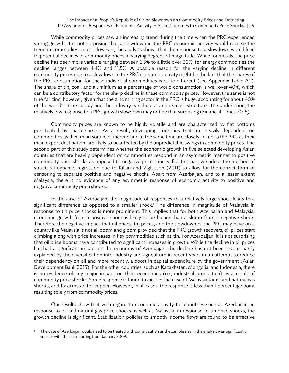#### The Impact of a People's Republic of China Slowdown on Commodity Prices and Detecting the Asymmetric Responses of Economic Activity in Asian Countries to Commodity Price Shocks | 19

While commodity prices saw an increasing trend during the time when the PRC experienced strong growth, it is not surprising that a slowdown in the PRC economic activity would reverse the trend in commodity prices. However, the analysis shows that the response to a slowdown would lead to potential declines of commodity prices in varying degrees of magnitude. While for metals, the price decline has been more variable ranging between 2.5% to a little over 20%, for energy commodities the decline ranges between 4.4% and 11.5%. A possible reason for the varying decline in different commodity prices due to a slowdown in the PRC economic activity might be the fact that the shares of the PRC consumption for these individual commodities is quite different (see Appendix Table A.1). The share of tin, coal, and aluminium as a percentage of world consumption is well over 40%, which can be a contributory factor for the sharp decline in these commodity prices. However, the same is not true for zinc; however, given that the zinc mining sector in the PRC is huge, accounting for about 40% of the world's mine supply and the industry is nebulous and its cost structure little understood, the relatively low response to a PRC growth slowdown may not be that surprising (Financial Times 2015).

Commodity prices are known to be highly volatile and are characterized by flat bottoms punctuated by sharp spikes. As a result, developing countries that are heavily dependent on commodities as their main source of income and at the same time are closely linked to the PRC as their main export destination, are likely to be affected by the unpredictable swings in commodity prices. The second part of this study determines whether the economic growth in five selected developing Asian countries that are heavily dependent on commodities respond in an asymmetric manner to positive commodity price shocks as opposed to negative price shocks. For this part we adopt the method of structural dynamic regression due to Kilian and Vigfusson (2011) to allow for the correct form of censoring to separate positive and negative shocks. Apart from Azerbaijan, and to a lesser extent Malaysia, there is no evidence of any asymmetric response of economic activity to positive and negative commodity price shocks.

In the case of Azerbaijan, the magnitude of responses to a relatively large shock leads to a significant difference as opposed to a smaller shock.<sup>1</sup> The difference in magnitude of Malaysia in response to tin price shocks is more prominent. This implies that for both Azerbaijan and Malaysia, economic growth from a positive shock is likely to be higher than a slump from a negative shock. Therefore the negative impact that oil prices, tin prices, and the slowdown of the PRC may have on a country like Malaysia is not all doom and gloom provided that the PRC growth recovers, oil prices start climbing along with price increases in key commodities such as tin. For Azerbaijan, it is not surprising that oil price booms have contributed to significant increases in growth. While the decline in oil prices has had a significant impact on the economy of Azerbaijan, the decline has not been severe, partly explained by the diversification into industry and agriculture in recent years in an attempt to reduce their dependency on oil and more recently, a boost in capital expenditure by the government (Asian Development Bank 2015). For the other countries, such as Kazakhstan, Mongolia, and Indonesia, there is no evidence of any major impact on their economies (i.e., industrial production) as a result of commodity price shocks. Some response is found to exist in the case of Malaysia for oil and natural gas shocks, and Kazakhstan for copper. However, in all cases, the response is less than 1 percentage point resulting solely from commodity prices.

Our results show that with regard to economic activity for countries such as Azerbaijan, in response to oil and natural gas price shocks as well as Malaysia, in response to tin price shocks, the growth decline is significant. Stabilization policies to smooth income flows are found to be effective

<sup>1</sup> The case of Azerbaijan would need to be treated with some caution as the sample size in the analysis was significantly smaller with the data starting from January 2009.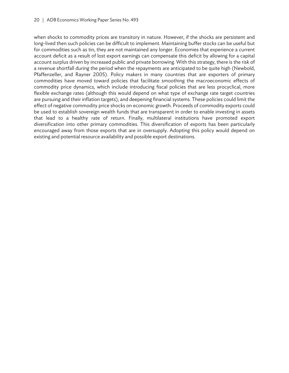when shocks to commodity prices are transitory in nature. However, if the shocks are persistent and long-lived then such policies can be difficult to implement. Maintaining buffer stocks can be useful but for commodities such as tin, they are not maintained any longer. Economies that experience a current account deficit as a result of lost export earnings can compensate this deficit by allowing for a capital account surplus driven by increased public and private borrowing. With this strategy, there is the risk of a revenue shortfall during the period when the repayments are anticipated to be quite high (Newbold, Pfaffenzeller, and Rayner 2005). Policy makers in many countries that are exporters of primary commodities have moved toward policies that facilitate smoothing the macroeconomic effects of commodity price dynamics, which include introducing fiscal policies that are less procyclical, more flexible exchange rates (although this would depend on what type of exchange rate target countries are pursuing and their inflation targets), and deepening financial systems. These policies could limit the effect of negative commodity price shocks on economic growth. Proceeds of commodity exports could be used to establish sovereign wealth funds that are transparent in order to enable investing in assets that lead to a healthy rate of return. Finally, multilateral institutions have promoted export diversification into other primary commodities. This diversification of exports has been particularly encouraged away from those exports that are in oversupply. Adopting this policy would depend on existing and potential resource availability and possible export destinations.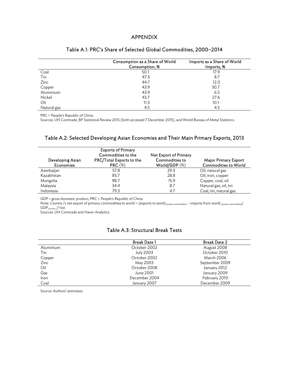#### APPENDIX

|             | Consumption as a Share of World<br>Consumption, % | Imports as a Share of World<br>Imports, % |  |  |
|-------------|---------------------------------------------------|-------------------------------------------|--|--|
| Coal        | 50.1                                              | 17.9                                      |  |  |
| Tin         | 47.3                                              | 8.7                                       |  |  |
| Zinc        | 44.7                                              | 12.0                                      |  |  |
| Copper      | 43.9                                              | 30.7                                      |  |  |
| Aluminium   | 43.9                                              | 6.5                                       |  |  |
| Nickel      | 43.7                                              | 27.6                                      |  |  |
| Oil         | 11.3                                              | 10.1                                      |  |  |
| Natural gas | 4.5                                               | 4.5                                       |  |  |

#### Table A.1: PRC's Share of Selected Global Commodities, 2000–2014

PRC = People's Republic of China.

Sources: UN Comtrade, BP Statistical Review 2015 (both accessed 7 December 2015), and World Bureau of Metal Statistics.

## Table A.2: Selected Developing Asian Economies and Their Main Primary Exports, 2013

| Developing Asian<br><b>Economies</b> | <b>Exports of Primary</b><br>Commodities to the<br>PRC/Total Exports to the<br>$PRC \ (\%)$ | Net Export of Primary<br>Commodities to<br>World/GDP $(\%)$ | <b>Major Primary Export</b><br><b>Commodities to World</b> |
|--------------------------------------|---------------------------------------------------------------------------------------------|-------------------------------------------------------------|------------------------------------------------------------|
| Azerbaijan                           | 57.8                                                                                        | 29.3                                                        | Oil, natural gas                                           |
| Kazakhstan                           | 85.7                                                                                        | 28.8                                                        | Oil, iron, copper                                          |
| Mongolia                             | 98.7                                                                                        | 15.9                                                        | Copper, coal, oil                                          |
| Malaysia                             | 34.4                                                                                        | 8.7                                                         | Natural gas, oil, tin                                      |
| Indonesia                            | 79.3                                                                                        | 4.7                                                         | Coal, tin, natural gas                                     |

GDP = gross domestic product, PRC = People's Republic of China.

Note: *Country i's* net export of primary commodities to world = (exports to world <sub>primary commodities</sub> – imports from world <sub>primary commodities</sub>/  $GDP_{\text{country i}}$ <sup>\*</sup>100

Sources: UN Comtrade and Haver Analytics.

## Table A.3: Structural Break Tests

|           | <b>Break Date 1</b> | <b>Break Date 2</b> |
|-----------|---------------------|---------------------|
| Aluminium | October 2002        | August 2008         |
| Tin       | <b>July 2003</b>    | October 2010        |
| Copper    | October 2002        | March 2006          |
| Zinc      | May 2003            | September 2009      |
| Oil       | October 2008        | January 2012        |
| Gas       | June 2001           | January 2009        |
| Iron      | December 2004       | February 2010       |
| Coal      | January 2007        | December 2009       |

Source: Authors' estimates.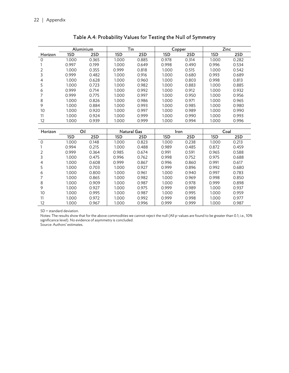|         | Aluminium |       | Tin   |       | Copper |       | Zinc  |       |
|---------|-----------|-------|-------|-------|--------|-------|-------|-------|
| Horizon | 1SD       | 2SD   | 1SD   | 2SD   | 1SD    | 2SD   | 1SD   | 2SD   |
| 0       | 1.000     | 0.365 | 1.000 | 0.885 | 0.978  | 0.314 | 1.000 | 0.282 |
|         | 0.997     | 0.199 | 1.000 | 0.649 | 0.998  | 0.490 | 0.996 | 0.534 |
|         | 1.000     | 0.355 | 0.999 | 0.818 | 1.000  | 0.515 | 1.000 | 0.542 |
| 3       | 0.999     | 0.482 | 1.000 | 0.916 | 1.000  | 0.680 | 0.993 | 0.689 |
| 4       | 1.000     | 0.628 | 1.000 | 0.960 | 1.000  | 0.803 | 0.998 | 0.813 |
| 5       | 1.000     | 0.723 | 1.000 | 0.982 | 1.000  | 0.883 | 1.000 | 0.885 |
| 6       | 0.999     | 0.714 | 1.000 | 0.992 | 1.000  | 0.912 | 1.000 | 0.932 |
|         | 0.999     | 0.775 | 1.000 | 0.997 | 1.000  | 0.950 | 1.000 | 0.956 |
| 8       | 1.000     | 0.826 | 1.000 | 0.986 | 1.000  | 0.971 | 1.000 | 0.965 |
| 9       | 1.000     | 0.884 | 1.000 | 0.993 | 1.000  | 0.985 | 1.000 | 0.980 |
| 10      | 1.000     | 0.920 | 1.000 | 0.997 | 1.000  | 0.989 | 1.000 | 0.990 |
| 11      | 1.000     | 0.924 | 1.000 | 0.999 | 1.000  | 0.990 | 1.000 | 0.993 |
| 12      | 1.000     | 0.939 | 1.000 | 0.999 | 1.000  | 0.994 | 1.000 | 0.996 |

| Horizon  | Oil   |       | <b>Natural Gas</b> |       | Iron. |       | Coal  |       |
|----------|-------|-------|--------------------|-------|-------|-------|-------|-------|
|          | 1SD   | 2SD   | 1SD                | 2SD   | 1SD   | 2SD   | 1SD   | 2SD   |
| $\Omega$ | 1.000 | 0.148 | 1.000              | 0.823 | 1.000 | 0.238 | 1.000 | 0.213 |
|          | 0.994 | 0.215 | 1.000              | 0.488 | 0.989 | 0.485 | 0.872 | 0.459 |
|          | 0.999 | 0.364 | 0.985              | 0.674 | 0.991 | 0.591 | 0.965 | 0.588 |
| 3        | 1.000 | 0.475 | 0.996              | 0.762 | 0.998 | 0.752 | 0.975 | 0.688 |
| 4        | 1.000 | 0.608 | 0.999              | 0.867 | 0.996 | 0.860 | 0.991 | 0.617 |
| 5        | 1.000 | 0.703 | 1.000              | 0.927 | 0.999 | 0.896 | 0.992 | 0.680 |
| 6        | 1.000 | 0.800 | 1.000              | 0.961 | 1.000 | 0.940 | 0.997 | 0.783 |
|          | 1.000 | 0.865 | 1.000              | 0.982 | 1.000 | 0.969 | 0.998 | 0.850 |
| 8        | 1.000 | 0.909 | 1.000              | 0.987 | 1.000 | 0.978 | 0.999 | 0.898 |
| 9        | 1.000 | 0.927 | 1.000              | 0.975 | 0.999 | 0.989 | 1.000 | 0.937 |
| 10       | 1.000 | 0.995 | 1.000              | 0.987 | 1.000 | 0.995 | 1.000 | 0.959 |
| 11       | 1.000 | 0.972 | 1.000              | 0.992 | 0.999 | 0.998 | 1.000 | 0.977 |
| 12       | 1.000 | 0.967 | 1.000              | 0.996 | 0.999 | 0.999 | 1.000 | 0.987 |

SD = standard deviation.

Notes: The results show that for the above commodities we cannot reject the null (All p-values are found to be greater than 0.1; i.e., 10% significance level). No evidence of asymmetry is concluded.

Source: Authors' estimates.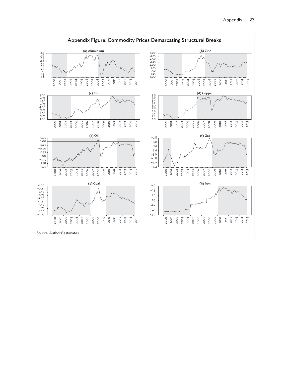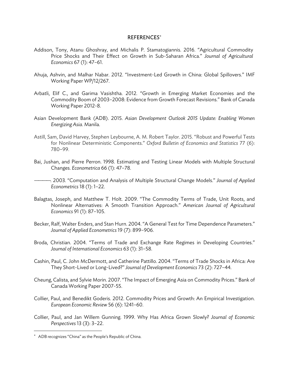#### REFERENCES

- Addison, Tony, Atanu Ghoshray, and Michalis P. Stamatogiannis. 2016. "Agricultural Commodity Price Shocks and Their Effect on Growth in Sub-Saharan Africa." *Journal of Agricultural Economics* 67 (1): 47–61.
- Ahuja, Ashvin, and Malhar Nabar. 2012. "Investment-Led Growth in China: Global Spillovers." IMF Working Paper WP/12/267.
- Arbatli, Elif C., and Garima Vasishtha. 2012. "Growth in Emerging Market Economies and the Commodity Boom of 2003–2008: Evidence from Growth Forecast Revisions." Bank of Canada Working Paper 2012-8.
- Asian Development Bank (ADB). 2015. *Asian Development Outlook 2015 Update: Enabling Women Energizing Asia*. Manila.
- Astill, Sam, David Harvey, Stephen Leybourne, A. M. Robert Taylor. 2015. "Robust and Powerful Tests for Nonlinear Deterministic Components." *Oxford Bulletin of Economics and Statistics* 77 (6): 780–99.
- Bai, Jushan, and Pierre Perron. 1998. Estimating and Testing Linear Models with Multiple Structural Changes. *Econometrica* 66 (1): 47–78.

————. 2003. "Computation and Analysis of Multiple Structural Change Models." *Journal of Applied Econometrics* 18 (1): 1–22.

- Balagtas, Joseph, and Matthew T. Holt. 2009. "The Commodity Terms of Trade, Unit Roots, and Nonlinear Alternatives: A Smooth Transition Approach." *American Journal of Agricultural Economics* 91 (1): 87–105.
- Becker, Ralf, Walter Enders, and Stan Hurn. 2004. "A General Test for Time Dependence Parameters." *Journal of Applied Econometrics* 19 (7): 899–906.
- Broda, Christian. 2004. "Terms of Trade and Exchange Rate Regimes in Developing Countries." *Journal of International Economics* 63 (1): 31–58.
- Cashin, Paul, C. John McDermott, and Catherine Pattillo. 2004. "Terms of Trade Shocks in Africa: Are They Short-Lived or Long-Lived?" *Journal of Development Economics* 73 (2): 727–44.
- Cheung, Calista, and Sylvie Morin. 2007. "The Impact of Emerging Asia on Commodity Prices." Bank of Canada Working Paper 2007-55.
- Collier, Paul, and Benedikt Goderis. 2012. Commodity Prices and Growth: An Empirical Investigation. *European Economic Review* 56 (6): 1241–60.
- Collier, Paul, and Jan Willem Gunning. 1999. Why Has Africa Grown Slowly? *Journal of Economic Perspectives* 13 (3): 3–22.

 ADB recognizes "China" as the People's Republic of China.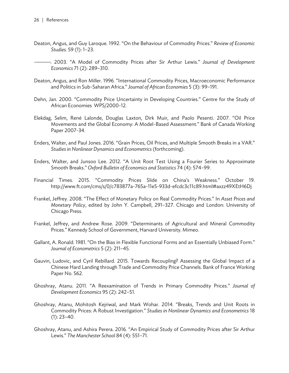- Deaton, Angus, and Guy Laroque. 1992. "On the Behaviour of Commodity Prices." *Review of Economic Studies.* 59 (1): 1–23.
- ————. 2003. "A Model of Commodity Prices after Sir Arthur Lewis." *Journal of Development Economics* 71 (2): 289–310.
- Deaton, Angus, and Ron Miller. 1996. "International Commodity Prices, Macroeconomic Performance and Politics in Sub-Saharan Africa." *Journal of African Economies* 5 (3): 99–191.
- Dehn, Jan. 2000. "Commodity Price Uncertainty in Developing Countries." Centre for the Study of African Economies WPS/2000-12.
- Elekdag, Selim, René Lalonde, Douglas Laxton, Dirk Muir, and Paolo Pesenti. 2007. "Oil Price Movements and the Global Economy: A Model-Based Assessment." Bank of Canada Working Paper 2007-34.
- Enders, Walter, and Paul Jones. 2016. "Grain Prices, Oil Prices, and Multiple Smooth Breaks in a VAR." *Studies in Nonlinear Dynamics and Econometrics* (forthcoming).
- Enders, Walter, and Junsoo Lee. 2012. "A Unit Root Test Using a Fourier Series to Approximate Smooth Breaks." *Oxford Bulletin of Economics and Statistics* 74 (4): 574–99.
- Financial Times. 2015. "Commodity Prices Slide on China's Weakness." October 19. http://www.ft.com/cms/s/0/c783877a-765a-11e5-933d-efcdc3c11c89.html#axzz49XEtH6Dj
- Frankel, Jeffrey. 2008. "The Effect of Monetary Policy on Real Commodity Prices." In *Asset Prices and Monetary Policy*, edited by John Y. Campbell, 291–327. Chicago and London: University of Chicago Press.
- Frankel, Jeffrey, and Andrew Rose. 2009. "Determinants of Agricultural and Mineral Commodity Prices." Kennedy School of Government, Harvard University. Mimeo.
- Gallant, A. Ronald. 1981. "On the Bias in Flexible Functional Forms and an Essentially Unbiased Form." *Journal of Econometrics* 5 (2): 211–45.
- Gauvin, Ludovic, and Cyril Rebillard. 2015. Towards Recoupling? Assessing the Global Impact of a Chinese Hard Landing through Trade and Commodity Price Channels. Bank of France Working Paper No. 562.
- Ghoshray, Atanu. 2011. "A Reexamination of Trends in Primary Commodity Prices." *Journal of Development Economics* 95 (2): 242–51.
- Ghoshray, Atanu, Mohitosh Kejriwal, and Mark Wohar. 2014. "Breaks, Trends and Unit Roots in Commodity Prices: A Robust Investigation." *Studies in Nonlinear Dynamics and Econometrics* 18  $(1): 23-40.$
- Ghoshray, Atanu, and Ashira Perera. 2016. "An Empirical Study of Commodity Prices after Sir Arthur Lewis." *The Manchester School* 84 (4): 551–71.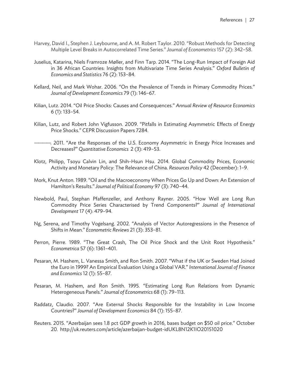- Harvey, David I., Stephen J. Leybourne, and A. M. Robert Taylor. 2010. "Robust Methods for Detecting Multiple Level Breaks in Autocorrelated Time Series." *Journal of Econometrics* 157 (2): 342–58.
- Juselius, Katarina, Niels Framroze Møller, and Finn Tarp. 2014. "The Long-Run Impact of Foreign Aid in 36 African Countries: Insights from Multivariate Time Series Analysis." *Oxford Bulletin of Economics and Statistics* 76 (2): 153–84.
- Kellard, Neil, and Mark Wohar. 2006. "On the Prevalence of Trends in Primary Commodity Prices." *Journal of Development Economics* 79 (1): 146–67.
- Kilian, Lutz. 2014. "Oil Price Shocks: Causes and Consequences." *Annual Review of Resource Economics* 6 (1): 133–54.
- Kilian, Lutz, and Robert John Vigfusson. 2009. "Pitfalls in Estimating Asymmetric Effects of Energy Price Shocks." CEPR Discussion Papers 7284.

————. 2011. "Are the Responses of the U.S. Economy Asymmetric in Energy Price Increases and Decreases?" *Quantitative Economics* 2 (3): 419–53.

- Klotz, Philipp, Tsoyu Calvin Lin, and Shih-Hsun Hsu. 2014. Global Commodity Prices, Economic Activity and Monetary Policy: The Relevance of China. *Resources Policy* 42 (December): 1–9.
- Mork, Knut Anton. 1989. "Oil and the Macroeconomy When Prices Go Up and Down: An Extension of Hamilton's Results." *Journal of Political Economy* 97 (3): 740–44.
- Newbold, Paul, Stephan Pfaffenzeller, and Anthony Rayner. 2005. "How Well are Long Run Commodity Price Series Characterised by Trend Components?" *Journal of International Development* 17 (4): 479–94.
- Ng, Serena, and Timothy Vogelsang. 2002. "Analysis of Vector Autoregressions in the Presence of Shifts in Mean." *Econometric Reviews* 21 (3): 353–81.
- Perron, Pierre. 1989. "The Great Crash, The Oil Price Shock and the Unit Root Hypothesis." *Econometrica* 57 (6): 1361–401.
- Pesaran, M. Hashem, L. Vanessa Smith, and Ron Smith. 2007. "What if the UK or Sweden Had Joined the Euro in 1999? An Empirical Evaluation Using a Global VAR." *International Journal of Finance and Economics* 12 (1): 55–87.
- Pesaran, M. Hashem, and Ron Smith. 1995. "Estimating Long Run Relations from Dynamic Heterogeneous Panels." *Journal of Econometrics* 68 (1): 79–113.
- Raddatz, Claudio. 2007. "Are External Shocks Responsible for the Instability in Low Income Countries?" *Journal of Development Economics* 84 (1): 155–87.
- Reuters. 2015. "Azerbaijan sees 1.8 pct GDP growth in 2016, bases budget on \$50 oil price." October 20. http://uk.reuters.com/article/azerbaijan-budget-idUKL8N12K1IO20151020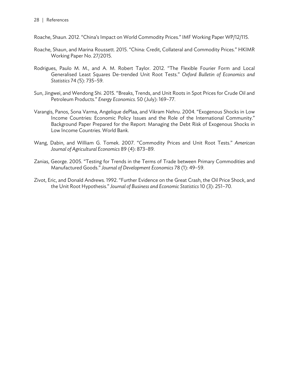Roache, Shaun. 2012. "China's Impact on World Commodity Prices." IMF Working Paper WP/12/115.

- Roache, Shaun, and Marina Roussett. 2015. "China: Credit, Collateral and Commodity Prices." HKIMR Working Paper No. 27/2015.
- Rodrigues, Paulo M. M., and A. M. Robert Taylor. 2012. "The Flexible Fourier Form and Local Generalised Least Squares De-trended Unit Root Tests." *Oxford Bulletin of Economics and Statistics* 74 *(*5): 735–59.
- Sun, Jingwei, and Wendong Shi. 2015. "Breaks, Trends, and Unit Roots in Spot Prices for Crude Oil and Petroleum Products." *Energy Economics.* 50 (July): 169–77.
- Varangis, Panos, Sona Varma, Angelique dePlaa, and Vikram Nehru. 2004. "Exogenous Shocks in Low Income Countries: Economic Policy Issues and the Role of the International Community." Background Paper Prepared for the Report: Managing the Debt Risk of Exogenous Shocks in Low Income Countries. World Bank.
- Wang, Dabin, and William G. Tomek. 2007. "Commodity Prices and Unit Root Tests." *American Journal of Agricultural Economics* 89 (4): 873–89.
- Zanias, George. 2005. "Testing for Trends in the Terms of Trade between Primary Commodities and Manufactured Goods." *Journal of Development Economics* 78 (1): 49–59.
- Zivot, Eric, and Donald Andrews. 1992. "Further Evidence on the Great Crash, the Oil Price Shock, and the Unit Root Hypothesis." *Journal of Business and Economic Statistics* 10 (3): 251–70.